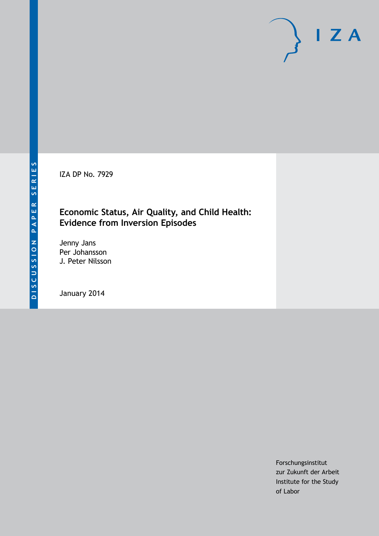IZA DP No. 7929

### **Economic Status, Air Quality, and Child Health: Evidence from Inversion Episodes**

Jenny Jans Per Johansson J. Peter Nilsson

January 2014

Forschungsinstitut zur Zukunft der Arbeit Institute for the Study of Labor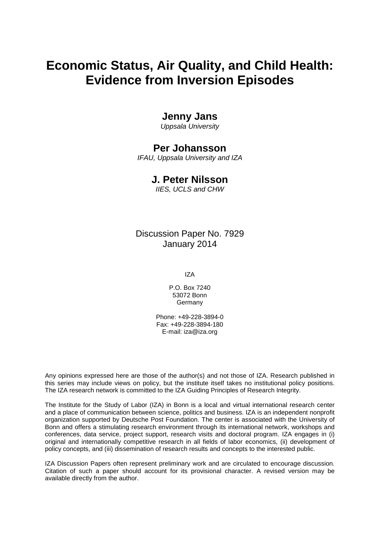# **Economic Status, Air Quality, and Child Health: Evidence from Inversion Episodes**

### **Jenny Jans**

*Uppsala University*

### **Per Johansson**

*IFAU, Uppsala University and IZA*

### **J. Peter Nilsson**

*IIES, UCLS and CHW*

Discussion Paper No. 7929 January 2014

IZA

P.O. Box 7240 53072 Bonn **Germany** 

Phone: +49-228-3894-0 Fax: +49-228-3894-180 E-mail: [iza@iza.org](mailto:iza@iza.org)

Any opinions expressed here are those of the author(s) and not those of IZA. Research published in this series may include views on policy, but the institute itself takes no institutional policy positions. The IZA research network is committed to the IZA Guiding Principles of Research Integrity.

The Institute for the Study of Labor (IZA) in Bonn is a local and virtual international research center and a place of communication between science, politics and business. IZA is an independent nonprofit organization supported by Deutsche Post Foundation. The center is associated with the University of Bonn and offers a stimulating research environment through its international network, workshops and conferences, data service, project support, research visits and doctoral program. IZA engages in (i) original and internationally competitive research in all fields of labor economics, (ii) development of policy concepts, and (iii) dissemination of research results and concepts to the interested public.

IZA Discussion Papers often represent preliminary work and are circulated to encourage discussion. Citation of such a paper should account for its provisional character. A revised version may be available directly from the author.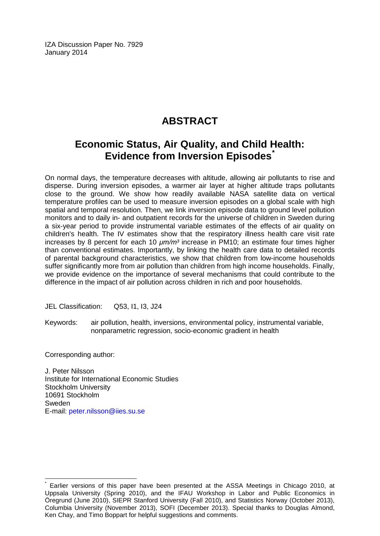IZA Discussion Paper No. 7929 January 2014

# **ABSTRACT**

## **Economic Status, Air Quality, and Child Health: Evidence from Inversion Episodes[\\*](#page-2-0)**

On normal days, the temperature decreases with altitude, allowing air pollutants to rise and disperse. During inversion episodes, a warmer air layer at higher altitude traps pollutants close to the ground. We show how readily available NASA satellite data on vertical temperature profiles can be used to measure inversion episodes on a global scale with high spatial and temporal resolution. Then, we link inversion episode data to ground level pollution monitors and to daily in- and outpatient records for the universe of children in Sweden during a six-year period to provide instrumental variable estimates of the effects of air quality on children's health. The IV estimates show that the respiratory illness health care visit rate increases by 8 percent for each 10 *μm/m³* increase in PM10; an estimate four times higher than conventional estimates. Importantly, by linking the health care data to detailed records of parental background characteristics, we show that children from low-income households suffer significantly more from air pollution than children from high income households. Finally, we provide evidence on the importance of several mechanisms that could contribute to the difference in the impact of air pollution across children in rich and poor households.

JEL Classification: Q53, I1, I3, J24

Keywords: air pollution, health, inversions, environmental policy, instrumental variable, nonparametric regression, socio-economic gradient in health

Corresponding author:

J. Peter Nilsson Institute for International Economic Studies Stockholm University 10691 Stockholm Sweden E-mail: [peter.nilsson@iies.su.se](mailto:peter.nilsson@iies.su.se)

<span id="page-2-0"></span>Earlier versions of this paper have been presented at the ASSA Meetings in Chicago 2010, at Uppsala University (Spring 2010), and the IFAU Workshop in Labor and Public Economics in Öregrund (June 2010), SIEPR Stanford University (Fall 2010), and Statistics Norway (October 2013), Columbia University (November 2013), SOFI (December 2013). Special thanks to Douglas Almond, Ken Chay, and Timo Boppart for helpful suggestions and comments.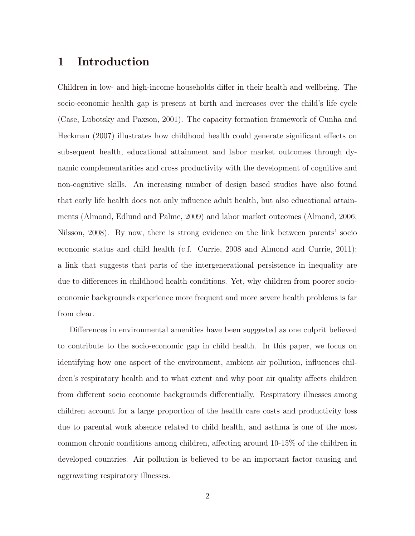### 1 Introduction

Children in low- and high-income households differ in their health and wellbeing. The socio-economic health gap is present at birth and increases over the child's life cycle (Case, Lubotsky and Paxson, 2001). The capacity formation framework of Cunha and Heckman (2007) illustrates how childhood health could generate significant effects on subsequent health, educational attainment and labor market outcomes through dynamic complementarities and cross productivity with the development of cognitive and non-cognitive skills. An increasing number of design based studies have also found that early life health does not only influence adult health, but also educational attainments (Almond, Edlund and Palme, 2009) and labor market outcomes (Almond, 2006; Nilsson, 2008). By now, there is strong evidence on the link between parents' socio economic status and child health (c.f. Currie, 2008 and Almond and Currie, 2011); a link that suggests that parts of the intergenerational persistence in inequality are due to differences in childhood health conditions. Yet, why children from poorer socioeconomic backgrounds experience more frequent and more severe health problems is far from clear.

Differences in environmental amenities have been suggested as one culprit believed to contribute to the socio-economic gap in child health. In this paper, we focus on identifying how one aspect of the environment, ambient air pollution, influences children's respiratory health and to what extent and why poor air quality affects children from different socio economic backgrounds differentially. Respiratory illnesses among children account for a large proportion of the health care costs and productivity loss due to parental work absence related to child health, and asthma is one of the most common chronic conditions among children, affecting around 10-15% of the children in developed countries. Air pollution is believed to be an important factor causing and aggravating respiratory illnesses.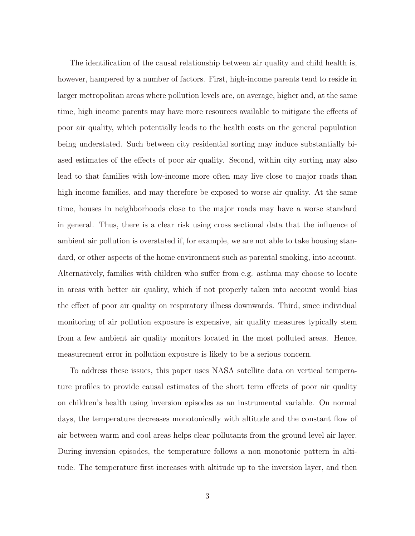The identification of the causal relationship between air quality and child health is, however, hampered by a number of factors. First, high-income parents tend to reside in larger metropolitan areas where pollution levels are, on average, higher and, at the same time, high income parents may have more resources available to mitigate the effects of poor air quality, which potentially leads to the health costs on the general population being understated. Such between city residential sorting may induce substantially biased estimates of the effects of poor air quality. Second, within city sorting may also lead to that families with low-income more often may live close to major roads than high income families, and may therefore be exposed to worse air quality. At the same time, houses in neighborhoods close to the major roads may have a worse standard in general. Thus, there is a clear risk using cross sectional data that the influence of ambient air pollution is overstated if, for example, we are not able to take housing standard, or other aspects of the home environment such as parental smoking, into account. Alternatively, families with children who suffer from e.g. asthma may choose to locate in areas with better air quality, which if not properly taken into account would bias the effect of poor air quality on respiratory illness downwards. Third, since individual monitoring of air pollution exposure is expensive, air quality measures typically stem from a few ambient air quality monitors located in the most polluted areas. Hence, measurement error in pollution exposure is likely to be a serious concern.

To address these issues, this paper uses NASA satellite data on vertical temperature profiles to provide causal estimates of the short term effects of poor air quality on children's health using inversion episodes as an instrumental variable. On normal days, the temperature decreases monotonically with altitude and the constant flow of air between warm and cool areas helps clear pollutants from the ground level air layer. During inversion episodes, the temperature follows a non monotonic pattern in altitude. The temperature first increases with altitude up to the inversion layer, and then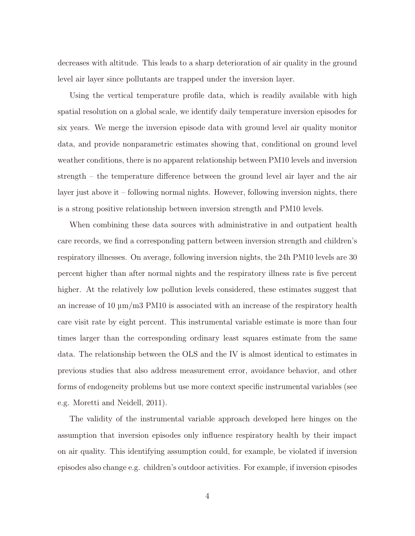decreases with altitude. This leads to a sharp deterioration of air quality in the ground level air layer since pollutants are trapped under the inversion layer.

Using the vertical temperature profile data, which is readily available with high spatial resolution on a global scale, we identify daily temperature inversion episodes for six years. We merge the inversion episode data with ground level air quality monitor data, and provide nonparametric estimates showing that, conditional on ground level weather conditions, there is no apparent relationship between PM10 levels and inversion strength – the temperature difference between the ground level air layer and the air layer just above it – following normal nights. However, following inversion nights, there is a strong positive relationship between inversion strength and PM10 levels.

When combining these data sources with administrative in and outpatient health care records, we find a corresponding pattern between inversion strength and children's respiratory illnesses. On average, following inversion nights, the 24h PM10 levels are 30 percent higher than after normal nights and the respiratory illness rate is five percent higher. At the relatively low pollution levels considered, these estimates suggest that an increase of 10  $\mu$ m/m3 PM10 is associated with an increase of the respiratory health care visit rate by eight percent. This instrumental variable estimate is more than four times larger than the corresponding ordinary least squares estimate from the same data. The relationship between the OLS and the IV is almost identical to estimates in previous studies that also address measurement error, avoidance behavior, and other forms of endogeneity problems but use more context specific instrumental variables (see e.g. Moretti and Neidell, 2011).

The validity of the instrumental variable approach developed here hinges on the assumption that inversion episodes only influence respiratory health by their impact on air quality. This identifying assumption could, for example, be violated if inversion episodes also change e.g. children's outdoor activities. For example, if inversion episodes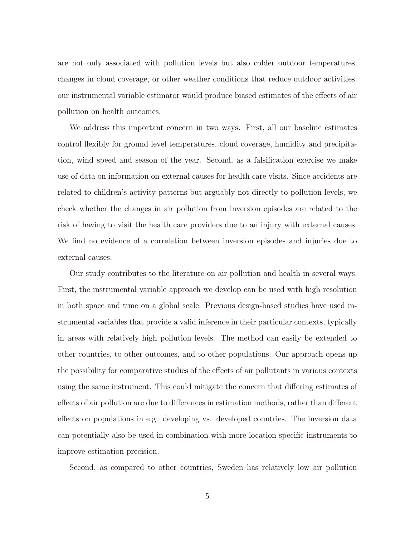are not only associated with pollution levels but also colder outdoor temperatures, changes in cloud coverage, or other weather conditions that reduce outdoor activities, our instrumental variable estimator would produce biased estimates of the effects of air pollution on health outcomes.

We address this important concern in two ways. First, all our baseline estimates control flexibly for ground level temperatures, cloud coverage, humidity and precipitation, wind speed and season of the year. Second, as a falsification exercise we make use of data on information on external causes for health care visits. Since accidents are related to children's activity patterns but arguably not directly to pollution levels, we check whether the changes in air pollution from inversion episodes are related to the risk of having to visit the health care providers due to an injury with external causes. We find no evidence of a correlation between inversion episodes and injuries due to external causes.

Our study contributes to the literature on air pollution and health in several ways. First, the instrumental variable approach we develop can be used with high resolution in both space and time on a global scale. Previous design-based studies have used instrumental variables that provide a valid inference in their particular contexts, typically in areas with relatively high pollution levels. The method can easily be extended to other countries, to other outcomes, and to other populations. Our approach opens up the possibility for comparative studies of the effects of air pollutants in various contexts using the same instrument. This could mitigate the concern that differing estimates of effects of air pollution are due to differences in estimation methods, rather than different effects on populations in e.g. developing vs. developed countries. The inversion data can potentially also be used in combination with more location specific instruments to improve estimation precision.

Second, as compared to other countries, Sweden has relatively low air pollution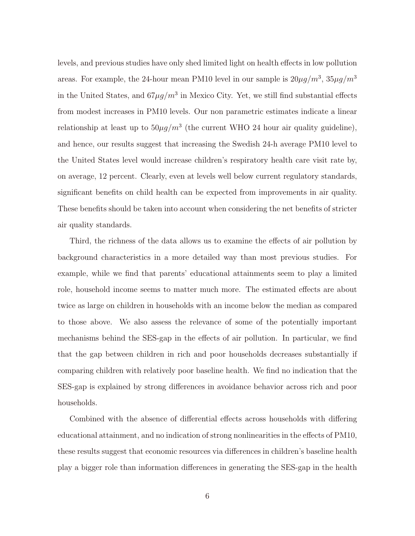levels, and previous studies have only shed limited light on health effects in low pollution areas. For example, the 24-hour mean PM10 level in our sample is  $20\mu g/m^3$ ,  $35\mu g/m^3$ in the United States, and  $67\mu g/m^3$  in Mexico City. Yet, we still find substantial effects from modest increases in PM10 levels. Our non parametric estimates indicate a linear relationship at least up to  $50\mu g/m^3$  (the current WHO 24 hour air quality guideline), and hence, our results suggest that increasing the Swedish 24-h average PM10 level to the United States level would increase children's respiratory health care visit rate by, on average, 12 percent. Clearly, even at levels well below current regulatory standards, significant benefits on child health can be expected from improvements in air quality. These benefits should be taken into account when considering the net benefits of stricter air quality standards.

Third, the richness of the data allows us to examine the effects of air pollution by background characteristics in a more detailed way than most previous studies. For example, while we find that parents' educational attainments seem to play a limited role, household income seems to matter much more. The estimated effects are about twice as large on children in households with an income below the median as compared to those above. We also assess the relevance of some of the potentially important mechanisms behind the SES-gap in the effects of air pollution. In particular, we find that the gap between children in rich and poor households decreases substantially if comparing children with relatively poor baseline health. We find no indication that the SES-gap is explained by strong differences in avoidance behavior across rich and poor households.

Combined with the absence of differential effects across households with differing educational attainment, and no indication of strong nonlinearities in the effects of PM10, these results suggest that economic resources via differences in children's baseline health play a bigger role than information differences in generating the SES-gap in the health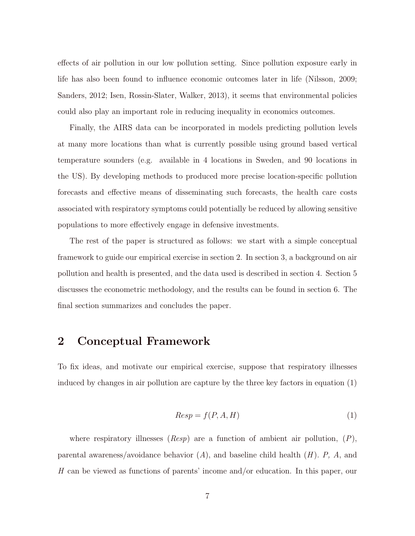effects of air pollution in our low pollution setting. Since pollution exposure early in life has also been found to influence economic outcomes later in life (Nilsson, 2009; Sanders, 2012; Isen, Rossin-Slater, Walker, 2013), it seems that environmental policies could also play an important role in reducing inequality in economics outcomes.

Finally, the AIRS data can be incorporated in models predicting pollution levels at many more locations than what is currently possible using ground based vertical temperature sounders (e.g. available in 4 locations in Sweden, and 90 locations in the US). By developing methods to produced more precise location-specific pollution forecasts and effective means of disseminating such forecasts, the health care costs associated with respiratory symptoms could potentially be reduced by allowing sensitive populations to more effectively engage in defensive investments.

The rest of the paper is structured as follows: we start with a simple conceptual framework to guide our empirical exercise in section 2. In section 3, a background on air pollution and health is presented, and the data used is described in section 4. Section 5 discusses the econometric methodology, and the results can be found in section 6. The final section summarizes and concludes the paper.

### 2 Conceptual Framework

To fix ideas, and motivate our empirical exercise, suppose that respiratory illnesses induced by changes in air pollution are capture by the three key factors in equation (1)

$$
Resp = f(P, A, H) \tag{1}
$$

where respiratory illnesses  $(Resp)$  are a function of ambient air pollution,  $(P)$ , parental awareness/avoidance behavior  $(A)$ , and baseline child health  $(H)$ . P, A, and H can be viewed as functions of parents' income and/or education. In this paper, our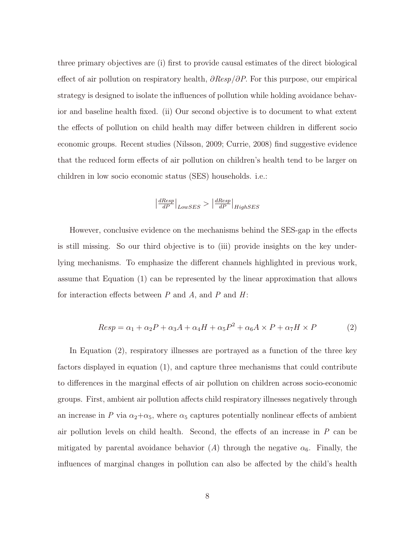three primary objectives are (i) first to provide causal estimates of the direct biological effect of air pollution on respiratory health,  $\partial Resp/\partial P$ . For this purpose, our empirical strategy is designed to isolate the influences of pollution while holding avoidance behavior and baseline health fixed. (ii) Our second objective is to document to what extent the effects of pollution on child health may differ between children in different socio economic groups. Recent studies (Nilsson, 2009; Currie, 2008) find suggestive evidence that the reduced form effects of air pollution on children's health tend to be larger on children in low socio economic status (SES) households. i.e.:

$$
\left|\tfrac{dResp}{dP}\right|_{LowSES} > \left|\tfrac{dResp}{dP}\right|_{HighSES}
$$

However, conclusive evidence on the mechanisms behind the SES-gap in the effects is still missing. So our third objective is to (iii) provide insights on the key underlying mechanisms. To emphasize the different channels highlighted in previous work, assume that Equation (1) can be represented by the linear approximation that allows for interaction effects between  $P$  and  $A$ , and  $P$  and  $H$ :

$$
Resp = \alpha_1 + \alpha_2 P + \alpha_3 A + \alpha_4 H + \alpha_5 P^2 + \alpha_6 A \times P + \alpha_7 H \times P \tag{2}
$$

In Equation (2), respiratory illnesses are portrayed as a function of the three key factors displayed in equation (1), and capture three mechanisms that could contribute to differences in the marginal effects of air pollution on children across socio-economic groups. First, ambient air pollution affects child respiratory illnesses negatively through an increase in P via  $\alpha_2 + \alpha_5$ , where  $\alpha_5$  captures potentially nonlinear effects of ambient air pollution levels on child health. Second, the effects of an increase in  $P$  can be mitigated by parental avoidance behavior (A) through the negative  $\alpha_6$ . Finally, the influences of marginal changes in pollution can also be affected by the child's health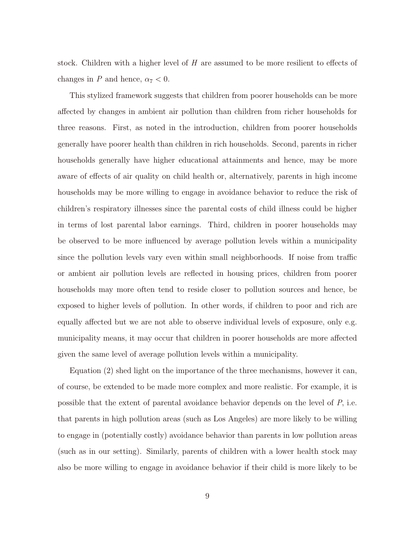stock. Children with a higher level of H are assumed to be more resilient to effects of changes in P and hence,  $\alpha_7 < 0$ .

This stylized framework suggests that children from poorer households can be more affected by changes in ambient air pollution than children from richer households for three reasons. First, as noted in the introduction, children from poorer households generally have poorer health than children in rich households. Second, parents in richer households generally have higher educational attainments and hence, may be more aware of effects of air quality on child health or, alternatively, parents in high income households may be more willing to engage in avoidance behavior to reduce the risk of children's respiratory illnesses since the parental costs of child illness could be higher in terms of lost parental labor earnings. Third, children in poorer households may be observed to be more influenced by average pollution levels within a municipality since the pollution levels vary even within small neighborhoods. If noise from traffic or ambient air pollution levels are reflected in housing prices, children from poorer households may more often tend to reside closer to pollution sources and hence, be exposed to higher levels of pollution. In other words, if children to poor and rich are equally affected but we are not able to observe individual levels of exposure, only e.g. municipality means, it may occur that children in poorer households are more affected given the same level of average pollution levels within a municipality.

Equation (2) shed light on the importance of the three mechanisms, however it can, of course, be extended to be made more complex and more realistic. For example, it is possible that the extent of parental avoidance behavior depends on the level of  $P$ , i.e. that parents in high pollution areas (such as Los Angeles) are more likely to be willing to engage in (potentially costly) avoidance behavior than parents in low pollution areas (such as in our setting). Similarly, parents of children with a lower health stock may also be more willing to engage in avoidance behavior if their child is more likely to be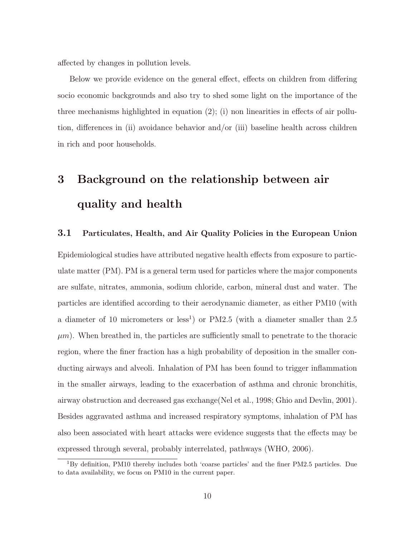affected by changes in pollution levels.

Below we provide evidence on the general effect, effects on children from differing socio economic backgrounds and also try to shed some light on the importance of the three mechanisms highlighted in equation  $(2)$ ; (i) non linearities in effects of air pollution, differences in (ii) avoidance behavior and/or (iii) baseline health across children in rich and poor households.

# 3 Background on the relationship between air quality and health

### 3.1 Particulates, Health, and Air Quality Policies in the European Union

Epidemiological studies have attributed negative health effects from exposure to particulate matter (PM). PM is a general term used for particles where the major components are sulfate, nitrates, ammonia, sodium chloride, carbon, mineral dust and water. The particles are identified according to their aerodynamic diameter, as either PM10 (with a diameter of 10 micrometers or less<sup>1</sup>) or PM2.5 (with a diameter smaller than 2.5  $\mu$ m). When breathed in, the particles are sufficiently small to penetrate to the thoracic region, where the finer fraction has a high probability of deposition in the smaller conducting airways and alveoli. Inhalation of PM has been found to trigger inflammation in the smaller airways, leading to the exacerbation of asthma and chronic bronchitis, airway obstruction and decreased gas exchange(Nel et al., 1998; Ghio and Devlin, 2001). Besides aggravated asthma and increased respiratory symptoms, inhalation of PM has also been associated with heart attacks were evidence suggests that the effects may be expressed through several, probably interrelated, pathways (WHO, 2006).

<sup>&</sup>lt;sup>1</sup>By definition, PM10 thereby includes both 'coarse particles' and the finer PM2.5 particles. Due to data availability, we focus on PM10 in the current paper.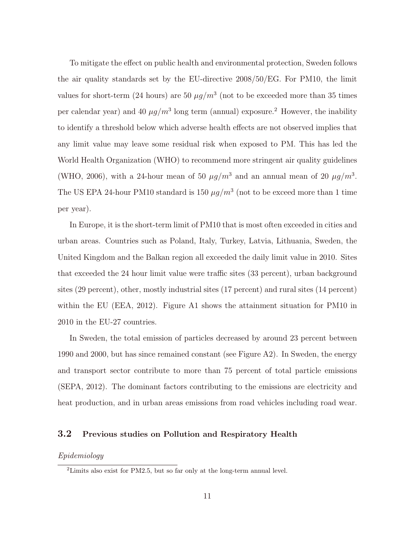To mitigate the effect on public health and environmental protection, Sweden follows the air quality standards set by the EU-directive 2008/50/EG. For PM10, the limit values for short-term (24 hours) are 50  $\mu g/m^3$  (not to be exceeded more than 35 times per calendar year) and 40  $\mu g/m^3$  long term (annual) exposure.<sup>2</sup> However, the inability to identify a threshold below which adverse health effects are not observed implies that any limit value may leave some residual risk when exposed to PM. This has led the World Health Organization (WHO) to recommend more stringent air quality guidelines (WHO, 2006), with a 24-hour mean of 50  $\mu g/m^3$  and an annual mean of 20  $\mu g/m^3$ . The US EPA 24-hour PM10 standard is 150  $\mu g/m^3$  (not to be exceed more than 1 time per year).

In Europe, it is the short-term limit of PM10 that is most often exceeded in cities and urban areas. Countries such as Poland, Italy, Turkey, Latvia, Lithuania, Sweden, the United Kingdom and the Balkan region all exceeded the daily limit value in 2010. Sites that exceeded the 24 hour limit value were traffic sites (33 percent), urban background sites (29 percent), other, mostly industrial sites (17 percent) and rural sites (14 percent) within the EU (EEA, 2012). Figure A1 shows the attainment situation for PM10 in 2010 in the EU-27 countries.

In Sweden, the total emission of particles decreased by around 23 percent between 1990 and 2000, but has since remained constant (see Figure A2). In Sweden, the energy and transport sector contribute to more than 75 percent of total particle emissions (SEPA, 2012). The dominant factors contributing to the emissions are electricity and heat production, and in urban areas emissions from road vehicles including road wear.

### 3.2 Previous studies on Pollution and Respiratory Health

#### Epidemiology

 $^{2}$ Limits also exist for PM2.5, but so far only at the long-term annual level.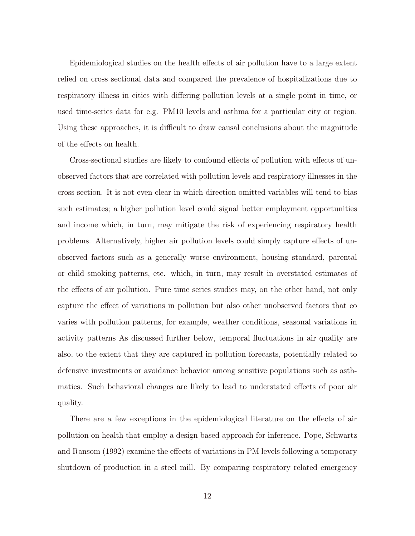Epidemiological studies on the health effects of air pollution have to a large extent relied on cross sectional data and compared the prevalence of hospitalizations due to respiratory illness in cities with differing pollution levels at a single point in time, or used time-series data for e.g. PM10 levels and asthma for a particular city or region. Using these approaches, it is difficult to draw causal conclusions about the magnitude of the effects on health.

Cross-sectional studies are likely to confound effects of pollution with effects of unobserved factors that are correlated with pollution levels and respiratory illnesses in the cross section. It is not even clear in which direction omitted variables will tend to bias such estimates; a higher pollution level could signal better employment opportunities and income which, in turn, may mitigate the risk of experiencing respiratory health problems. Alternatively, higher air pollution levels could simply capture effects of unobserved factors such as a generally worse environment, housing standard, parental or child smoking patterns, etc. which, in turn, may result in overstated estimates of the effects of air pollution. Pure time series studies may, on the other hand, not only capture the effect of variations in pollution but also other unobserved factors that co varies with pollution patterns, for example, weather conditions, seasonal variations in activity patterns As discussed further below, temporal fluctuations in air quality are also, to the extent that they are captured in pollution forecasts, potentially related to defensive investments or avoidance behavior among sensitive populations such as asthmatics. Such behavioral changes are likely to lead to understated effects of poor air quality.

There are a few exceptions in the epidemiological literature on the effects of air pollution on health that employ a design based approach for inference. Pope, Schwartz and Ransom (1992) examine the effects of variations in PM levels following a temporary shutdown of production in a steel mill. By comparing respiratory related emergency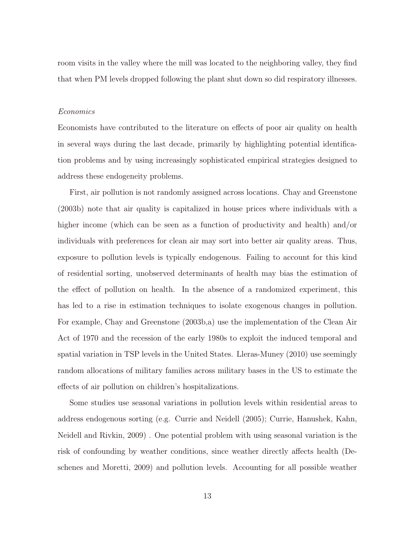room visits in the valley where the mill was located to the neighboring valley, they find that when PM levels dropped following the plant shut down so did respiratory illnesses.

#### Economics

Economists have contributed to the literature on effects of poor air quality on health in several ways during the last decade, primarily by highlighting potential identification problems and by using increasingly sophisticated empirical strategies designed to address these endogeneity problems.

First, air pollution is not randomly assigned across locations. Chay and Greenstone (2003b) note that air quality is capitalized in house prices where individuals with a higher income (which can be seen as a function of productivity and health) and/or individuals with preferences for clean air may sort into better air quality areas. Thus, exposure to pollution levels is typically endogenous. Failing to account for this kind of residential sorting, unobserved determinants of health may bias the estimation of the effect of pollution on health. In the absence of a randomized experiment, this has led to a rise in estimation techniques to isolate exogenous changes in pollution. For example, Chay and Greenstone (2003b,a) use the implementation of the Clean Air Act of 1970 and the recession of the early 1980s to exploit the induced temporal and spatial variation in TSP levels in the United States. Lleras-Muney (2010) use seemingly random allocations of military families across military bases in the US to estimate the effects of air pollution on children's hospitalizations.

Some studies use seasonal variations in pollution levels within residential areas to address endogenous sorting (e.g. Currie and Neidell (2005); Currie, Hanushek, Kahn, Neidell and Rivkin, 2009) . One potential problem with using seasonal variation is the risk of confounding by weather conditions, since weather directly affects health (Deschenes and Moretti, 2009) and pollution levels. Accounting for all possible weather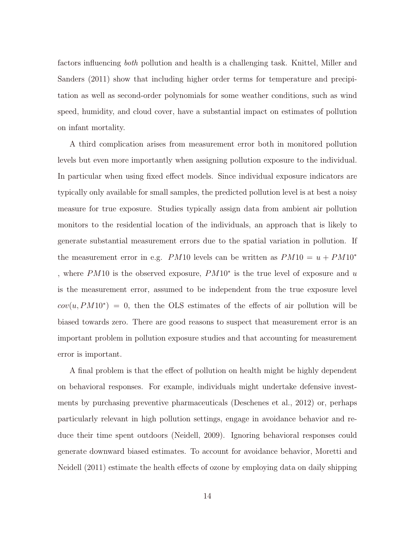factors influencing both pollution and health is a challenging task. Knittel, Miller and Sanders (2011) show that including higher order terms for temperature and precipitation as well as second-order polynomials for some weather conditions, such as wind speed, humidity, and cloud cover, have a substantial impact on estimates of pollution on infant mortality.

A third complication arises from measurement error both in monitored pollution levels but even more importantly when assigning pollution exposure to the individual. In particular when using fixed effect models. Since individual exposure indicators are typically only available for small samples, the predicted pollution level is at best a noisy measure for true exposure. Studies typically assign data from ambient air pollution monitors to the residential location of the individuals, an approach that is likely to generate substantial measurement errors due to the spatial variation in pollution. If the measurement error in e.g. PM10 levels can be written as  $PM10 = u + PM10^*$ , where PM10 is the observed exposure, PM10<sup>∗</sup> is the true level of exposure and u is the measurement error, assumed to be independent from the true exposure level  $cov(u, PM10^*) = 0$ , then the OLS estimates of the effects of air pollution will be biased towards zero. There are good reasons to suspect that measurement error is an important problem in pollution exposure studies and that accounting for measurement error is important.

A final problem is that the effect of pollution on health might be highly dependent on behavioral responses. For example, individuals might undertake defensive investments by purchasing preventive pharmaceuticals (Deschenes et al., 2012) or, perhaps particularly relevant in high pollution settings, engage in avoidance behavior and reduce their time spent outdoors (Neidell, 2009). Ignoring behavioral responses could generate downward biased estimates. To account for avoidance behavior, Moretti and Neidell (2011) estimate the health effects of ozone by employing data on daily shipping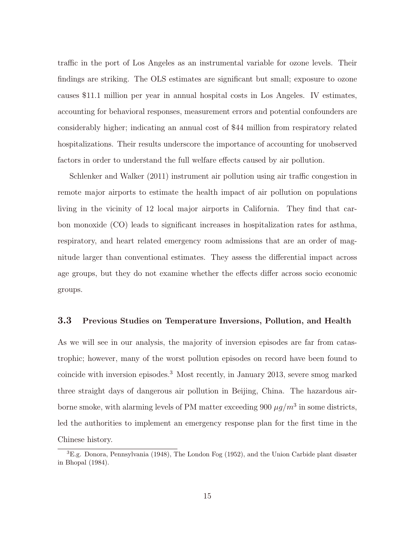traffic in the port of Los Angeles as an instrumental variable for ozone levels. Their findings are striking. The OLS estimates are significant but small; exposure to ozone causes \$11.1 million per year in annual hospital costs in Los Angeles. IV estimates, accounting for behavioral responses, measurement errors and potential confounders are considerably higher; indicating an annual cost of \$44 million from respiratory related hospitalizations. Their results underscore the importance of accounting for unobserved factors in order to understand the full welfare effects caused by air pollution.

Schlenker and Walker (2011) instrument air pollution using air traffic congestion in remote major airports to estimate the health impact of air pollution on populations living in the vicinity of 12 local major airports in California. They find that carbon monoxide (CO) leads to significant increases in hospitalization rates for asthma, respiratory, and heart related emergency room admissions that are an order of magnitude larger than conventional estimates. They assess the differential impact across age groups, but they do not examine whether the effects differ across socio economic groups.

### 3.3 Previous Studies on Temperature Inversions, Pollution, and Health

As we will see in our analysis, the majority of inversion episodes are far from catastrophic; however, many of the worst pollution episodes on record have been found to coincide with inversion episodes.<sup>3</sup> Most recently, in January 2013, severe smog marked three straight days of dangerous air pollution in Beijing, China. The hazardous airborne smoke, with alarming levels of PM matter exceeding 900  $\mu g/m^3$  in some districts, led the authorities to implement an emergency response plan for the first time in the Chinese history.

<sup>&</sup>lt;sup>3</sup>E.g. Donora, Pennsylvania (1948), The London Fog (1952), and the Union Carbide plant disaster in Bhopal (1984).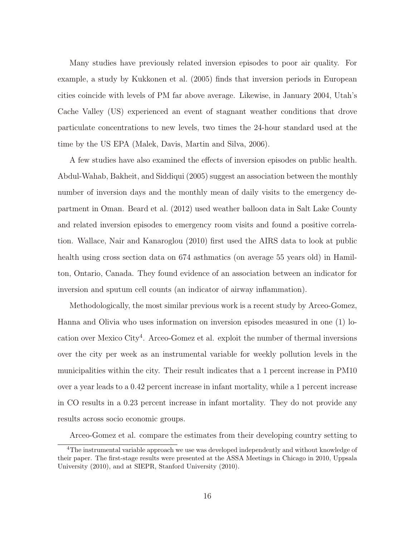Many studies have previously related inversion episodes to poor air quality. For example, a study by Kukkonen et al. (2005) finds that inversion periods in European cities coincide with levels of PM far above average. Likewise, in January 2004, Utah's Cache Valley (US) experienced an event of stagnant weather conditions that drove particulate concentrations to new levels, two times the 24-hour standard used at the time by the US EPA (Malek, Davis, Martin and Silva, 2006).

A few studies have also examined the effects of inversion episodes on public health. Abdul-Wahab, Bakheit, and Siddiqui (2005) suggest an association between the monthly number of inversion days and the monthly mean of daily visits to the emergency department in Oman. Beard et al. (2012) used weather balloon data in Salt Lake County and related inversion episodes to emergency room visits and found a positive correlation. Wallace, Nair and Kanaroglou (2010) first used the AIRS data to look at public health using cross section data on 674 asthmatics (on average 55 years old) in Hamilton, Ontario, Canada. They found evidence of an association between an indicator for inversion and sputum cell counts (an indicator of airway inflammation).

Methodologically, the most similar previous work is a recent study by Arceo-Gomez, Hanna and Olivia who uses information on inversion episodes measured in one (1) location over Mexico City<sup>4</sup> . Arceo-Gomez et al. exploit the number of thermal inversions over the city per week as an instrumental variable for weekly pollution levels in the municipalities within the city. Their result indicates that a 1 percent increase in PM10 over a year leads to a 0.42 percent increase in infant mortality, while a 1 percent increase in CO results in a 0.23 percent increase in infant mortality. They do not provide any results across socio economic groups.

Arceo-Gomez et al. compare the estimates from their developing country setting to

<sup>&</sup>lt;sup>4</sup>The instrumental variable approach we use was developed independently and without knowledge of their paper. The first-stage results were presented at the ASSA Meetings in Chicago in 2010, Uppsala University (2010), and at SIEPR, Stanford University (2010).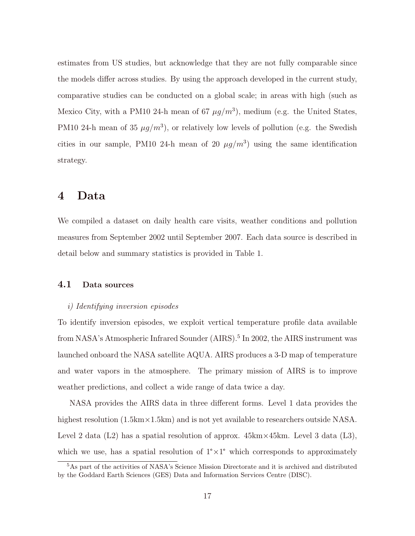estimates from US studies, but acknowledge that they are not fully comparable since the models differ across studies. By using the approach developed in the current study, comparative studies can be conducted on a global scale; in areas with high (such as Mexico City, with a PM10 24-h mean of 67  $\mu g/m^3$ ), medium (e.g. the United States, PM10 24-h mean of 35  $\mu g/m^3$ ), or relatively low levels of pollution (e.g. the Swedish cities in our sample, PM10 24-h mean of 20  $\mu g/m^3$  using the same identification strategy.

### 4 Data

We compiled a dataset on daily health care visits, weather conditions and pollution measures from September 2002 until September 2007. Each data source is described in detail below and summary statistics is provided in Table 1.

### 4.1 Data sources

#### i) Identifying inversion episodes

To identify inversion episodes, we exploit vertical temperature profile data available from NASA's Atmospheric Infrared Sounder (AIRS).<sup>5</sup> In 2002, the AIRS instrument was launched onboard the NASA satellite AQUA. AIRS produces a 3-D map of temperature and water vapors in the atmosphere. The primary mission of AIRS is to improve weather predictions, and collect a wide range of data twice a day.

NASA provides the AIRS data in three different forms. Level 1 data provides the highest resolution  $(1.5 \text{km} \times 1.5 \text{km})$  and is not yet available to researchers outside NASA. Level 2 data (L2) has a spatial resolution of approx.  $45 \text{km} \times 45 \text{km}$ . Level 3 data (L3), which we use, has a spatial resolution of  $1^{\circ} \times 1^{\circ}$  which corresponds to approximately

<sup>5</sup>As part of the activities of NASA's Science Mission Directorate and it is archived and distributed by the Goddard Earth Sciences (GES) Data and Information Services Centre (DISC).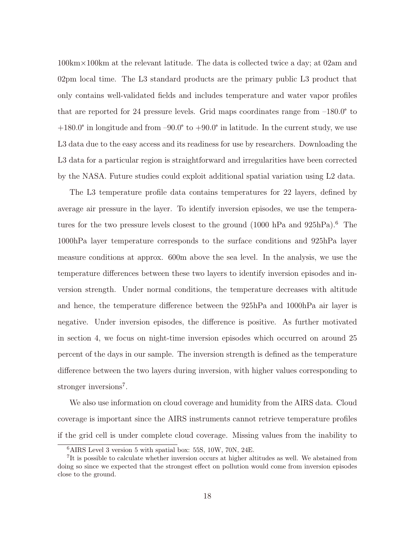100km×100km at the relevant latitude. The data is collected twice a day; at 02am and 02pm local time. The L3 standard products are the primary public L3 product that only contains well-validated fields and includes temperature and water vapor profiles that are reported for 24 pressure levels. Grid maps coordinates range from –180.0° to  $+180.0^{\circ}$  in longitude and from  $-90.0^{\circ}$  to  $+90.0^{\circ}$  in latitude. In the current study, we use L3 data due to the easy access and its readiness for use by researchers. Downloading the L3 data for a particular region is straightforward and irregularities have been corrected by the NASA. Future studies could exploit additional spatial variation using L2 data.

The L3 temperature profile data contains temperatures for 22 layers, defined by average air pressure in the layer. To identify inversion episodes, we use the temperatures for the two pressure levels closest to the ground  $(1000 \text{ hPa} \text{ and } 925 \text{ hPa})$ .<sup>6</sup> The 1000hPa layer temperature corresponds to the surface conditions and 925hPa layer measure conditions at approx. 600m above the sea level. In the analysis, we use the temperature differences between these two layers to identify inversion episodes and inversion strength. Under normal conditions, the temperature decreases with altitude and hence, the temperature difference between the 925hPa and 1000hPa air layer is negative. Under inversion episodes, the difference is positive. As further motivated in section 4, we focus on night-time inversion episodes which occurred on around 25 percent of the days in our sample. The inversion strength is defined as the temperature difference between the two layers during inversion, with higher values corresponding to stronger inversions<sup>7</sup>.

We also use information on cloud coverage and humidity from the AIRS data. Cloud coverage is important since the AIRS instruments cannot retrieve temperature profiles if the grid cell is under complete cloud coverage. Missing values from the inability to

<sup>6</sup>AIRS Level 3 version 5 with spatial box: 55S, 10W, 70N, 24E.

<sup>&</sup>lt;sup>7</sup>It is possible to calculate whether inversion occurs at higher altitudes as well. We abstained from doing so since we expected that the strongest effect on pollution would come from inversion episodes close to the ground.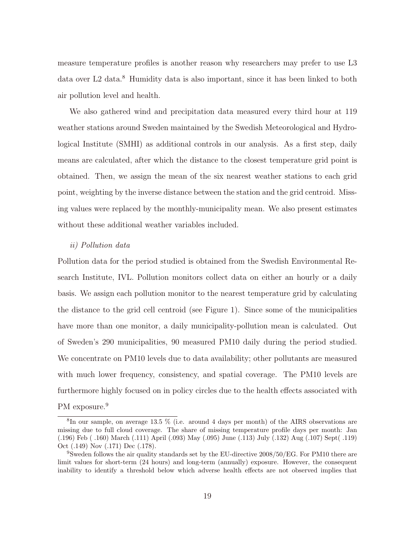measure temperature profiles is another reason why researchers may prefer to use L3 data over L2 data.<sup>8</sup> Humidity data is also important, since it has been linked to both air pollution level and health.

We also gathered wind and precipitation data measured every third hour at 119 weather stations around Sweden maintained by the Swedish Meteorological and Hydrological Institute (SMHI) as additional controls in our analysis. As a first step, daily means are calculated, after which the distance to the closest temperature grid point is obtained. Then, we assign the mean of the six nearest weather stations to each grid point, weighting by the inverse distance between the station and the grid centroid. Missing values were replaced by the monthly-municipality mean. We also present estimates without these additional weather variables included.

#### ii) Pollution data

Pollution data for the period studied is obtained from the Swedish Environmental Research Institute, IVL. Pollution monitors collect data on either an hourly or a daily basis. We assign each pollution monitor to the nearest temperature grid by calculating the distance to the grid cell centroid (see Figure 1). Since some of the municipalities have more than one monitor, a daily municipality-pollution mean is calculated. Out of Sweden's 290 municipalities, 90 measured PM10 daily during the period studied. We concentrate on PM10 levels due to data availability; other pollutants are measured with much lower frequency, consistency, and spatial coverage. The PM10 levels are furthermore highly focused on in policy circles due to the health effects associated with

PM exposure.<sup>9</sup>

 ${}^{8}$ In our sample, on average 13.5 % (i.e. around 4 days per month) of the AIRS observations are missing due to full cloud coverage. The share of missing temperature profile days per month: Jan (.196) Feb ( .160) March (.111) April (.093) May (.095) June (.113) July (.132) Aug (.107) Sept( .119) Oct (.149) Nov (.171) Dec (.178).

<sup>9</sup>Sweden follows the air quality standards set by the EU-directive 2008/50/EG. For PM10 there are limit values for short-term (24 hours) and long-term (annually) exposure. However, the consequent inability to identify a threshold below which adverse health effects are not observed implies that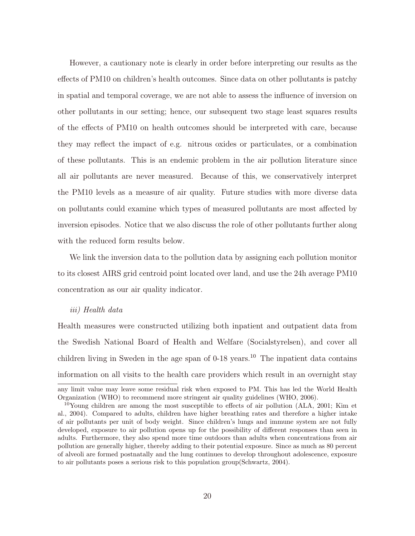However, a cautionary note is clearly in order before interpreting our results as the effects of PM10 on children's health outcomes. Since data on other pollutants is patchy in spatial and temporal coverage, we are not able to assess the influence of inversion on other pollutants in our setting; hence, our subsequent two stage least squares results of the effects of PM10 on health outcomes should be interpreted with care, because they may reflect the impact of e.g. nitrous oxides or particulates, or a combination of these pollutants. This is an endemic problem in the air pollution literature since all air pollutants are never measured. Because of this, we conservatively interpret the PM10 levels as a measure of air quality. Future studies with more diverse data on pollutants could examine which types of measured pollutants are most affected by inversion episodes. Notice that we also discuss the role of other pollutants further along with the reduced form results below.

We link the inversion data to the pollution data by assigning each pollution monitor to its closest AIRS grid centroid point located over land, and use the 24h average PM10 concentration as our air quality indicator.

#### iii) Health data

Health measures were constructed utilizing both inpatient and outpatient data from the Swedish National Board of Health and Welfare (Socialstyrelsen), and cover all children living in Sweden in the age span of  $0$ -18 years.<sup>10</sup> The inpatient data contains information on all visits to the health care providers which result in an overnight stay

any limit value may leave some residual risk when exposed to PM. This has led the World Health Organization (WHO) to recommend more stringent air quality guidelines (WHO, 2006).

 $10$ Young children are among the most susceptible to effects of air pollution (ALA, 2001; Kim et al., 2004). Compared to adults, children have higher breathing rates and therefore a higher intake of air pollutants per unit of body weight. Since children's lungs and immune system are not fully developed, exposure to air pollution opens up for the possibility of different responses than seen in adults. Furthermore, they also spend more time outdoors than adults when concentrations from air pollution are generally higher, thereby adding to their potential exposure. Since as much as 80 percent of alveoli are formed postnatally and the lung continues to develop throughout adolescence, exposure to air pollutants poses a serious risk to this population group(Schwartz, 2004).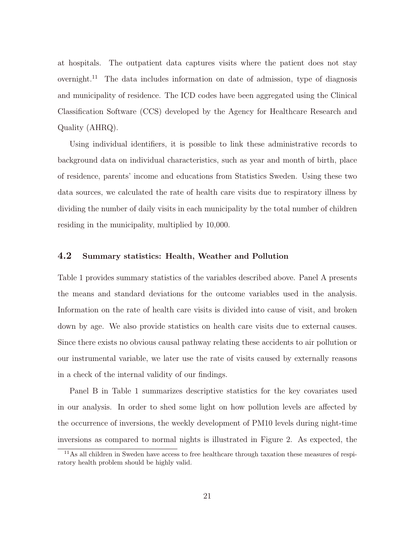at hospitals. The outpatient data captures visits where the patient does not stay overnight.<sup>11</sup> The data includes information on date of admission, type of diagnosis and municipality of residence. The ICD codes have been aggregated using the Clinical Classification Software (CCS) developed by the Agency for Healthcare Research and Quality (AHRQ).

Using individual identifiers, it is possible to link these administrative records to background data on individual characteristics, such as year and month of birth, place of residence, parents' income and educations from Statistics Sweden. Using these two data sources, we calculated the rate of health care visits due to respiratory illness by dividing the number of daily visits in each municipality by the total number of children residing in the municipality, multiplied by 10,000.

### 4.2 Summary statistics: Health, Weather and Pollution

Table 1 provides summary statistics of the variables described above. Panel A presents the means and standard deviations for the outcome variables used in the analysis. Information on the rate of health care visits is divided into cause of visit, and broken down by age. We also provide statistics on health care visits due to external causes. Since there exists no obvious causal pathway relating these accidents to air pollution or our instrumental variable, we later use the rate of visits caused by externally reasons in a check of the internal validity of our findings.

Panel B in Table 1 summarizes descriptive statistics for the key covariates used in our analysis. In order to shed some light on how pollution levels are affected by the occurrence of inversions, the weekly development of PM10 levels during night-time inversions as compared to normal nights is illustrated in Figure 2. As expected, the

<sup>11</sup>As all children in Sweden have access to free healthcare through taxation these measures of respiratory health problem should be highly valid.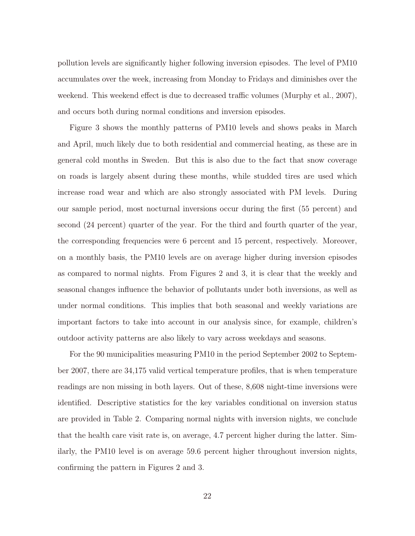pollution levels are significantly higher following inversion episodes. The level of PM10 accumulates over the week, increasing from Monday to Fridays and diminishes over the weekend. This weekend effect is due to decreased traffic volumes (Murphy et al., 2007), and occurs both during normal conditions and inversion episodes.

Figure 3 shows the monthly patterns of PM10 levels and shows peaks in March and April, much likely due to both residential and commercial heating, as these are in general cold months in Sweden. But this is also due to the fact that snow coverage on roads is largely absent during these months, while studded tires are used which increase road wear and which are also strongly associated with PM levels. During our sample period, most nocturnal inversions occur during the first (55 percent) and second (24 percent) quarter of the year. For the third and fourth quarter of the year, the corresponding frequencies were 6 percent and 15 percent, respectively. Moreover, on a monthly basis, the PM10 levels are on average higher during inversion episodes as compared to normal nights. From Figures 2 and 3, it is clear that the weekly and seasonal changes influence the behavior of pollutants under both inversions, as well as under normal conditions. This implies that both seasonal and weekly variations are important factors to take into account in our analysis since, for example, children's outdoor activity patterns are also likely to vary across weekdays and seasons.

For the 90 municipalities measuring PM10 in the period September 2002 to September 2007, there are 34,175 valid vertical temperature profiles, that is when temperature readings are non missing in both layers. Out of these, 8,608 night-time inversions were identified. Descriptive statistics for the key variables conditional on inversion status are provided in Table 2. Comparing normal nights with inversion nights, we conclude that the health care visit rate is, on average, 4.7 percent higher during the latter. Similarly, the PM10 level is on average 59.6 percent higher throughout inversion nights, confirming the pattern in Figures 2 and 3.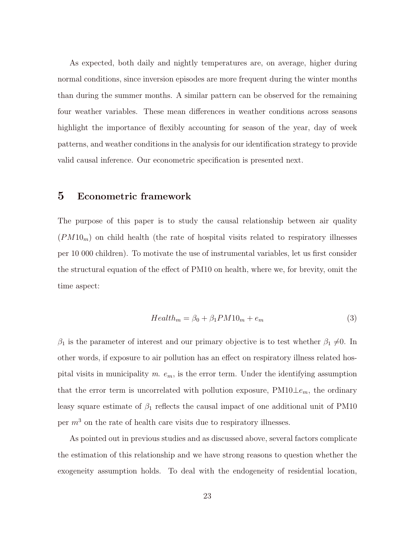As expected, both daily and nightly temperatures are, on average, higher during normal conditions, since inversion episodes are more frequent during the winter months than during the summer months. A similar pattern can be observed for the remaining four weather variables. These mean differences in weather conditions across seasons highlight the importance of flexibly accounting for season of the year, day of week patterns, and weather conditions in the analysis for our identification strategy to provide valid causal inference. Our econometric specification is presented next.

### 5 Econometric framework

The purpose of this paper is to study the causal relationship between air quality  $(PM10<sub>m</sub>)$  on child health (the rate of hospital visits related to respiratory illnesses per 10 000 children). To motivate the use of instrumental variables, let us first consider the structural equation of the effect of PM10 on health, where we, for brevity, omit the time aspect:

$$
Health_m = \beta_0 + \beta_1 P M 10_m + e_m \tag{3}
$$

 $\beta_1$  is the parameter of interest and our primary objective is to test whether  $\beta_1 \neq 0$ . In other words, if exposure to air pollution has an effect on respiratory illness related hospital visits in municipality m.  $e_m$ , is the error term. Under the identifying assumption that the error term is uncorrelated with pollution exposure,  $PM10\perp e_m$ , the ordinary leasy square estimate of  $\beta_1$  reflects the causal impact of one additional unit of PM10 per  $m<sup>3</sup>$  on the rate of health care visits due to respiratory illnesses.

As pointed out in previous studies and as discussed above, several factors complicate the estimation of this relationship and we have strong reasons to question whether the exogeneity assumption holds. To deal with the endogeneity of residential location,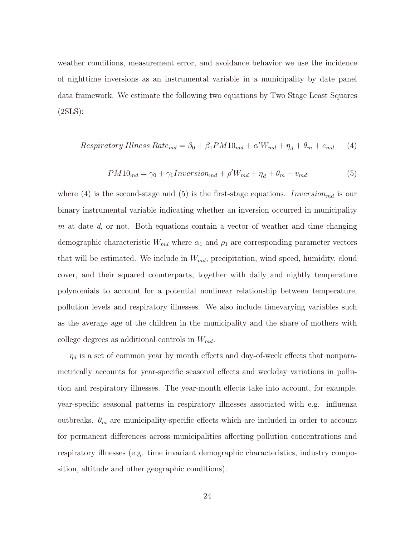weather conditions, measurement error, and avoidance behavior we use the incidence of nighttime inversions as an instrumental variable in a municipality by date panel data framework. We estimate the following two equations by Two Stage Least Squares (2SLS):

$$
Respiratory \, Illness \, Rate_{md} = \beta_0 + \beta_1 PM10_{md} + \alpha' W_{md} + \eta_d + \theta_m + e_{md} \tag{4}
$$

$$
PM10_{md} = \gamma_0 + \gamma_1 Inversion_{md} + \rho' W_{md} + \eta_d + \theta_m + v_{md}
$$
\n<sup>(5)</sup>

where (4) is the second-stage and (5) is the first-stage equations.  $Inversion_{md}$  is our binary instrumental variable indicating whether an inversion occurred in municipality m at date  $d$ , or not. Both equations contain a vector of weather and time changing demographic characteristic  $W_{md}$  where  $\alpha_1$  and  $\rho_1$  are corresponding parameter vectors that will be estimated. We include in  $W_{md}$ , precipitation, wind speed, humidity, cloud cover, and their squared counterparts, together with daily and nightly temperature polynomials to account for a potential nonlinear relationship between temperature, pollution levels and respiratory illnesses. We also include timevarying variables such as the average age of the children in the municipality and the share of mothers with college degrees as additional controls in  $W_{md}$ .

 $\eta_d$  is a set of common year by month effects and day-of-week effects that nonparametrically accounts for year-specific seasonal effects and weekday variations in pollution and respiratory illnesses. The year-month effects take into account, for example, year-specific seasonal patterns in respiratory illnesses associated with e.g. influenza outbreaks.  $\theta_m$  are municipality-specific effects which are included in order to account for permanent differences across municipalities affecting pollution concentrations and respiratory illnesses (e.g. time invariant demographic characteristics, industry composition, altitude and other geographic conditions).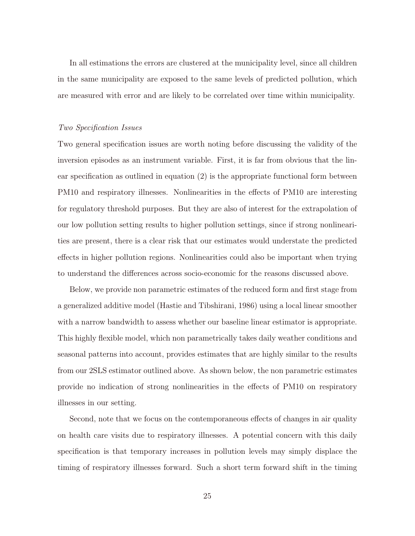In all estimations the errors are clustered at the municipality level, since all children in the same municipality are exposed to the same levels of predicted pollution, which are measured with error and are likely to be correlated over time within municipality.

#### Two Specification Issues

Two general specification issues are worth noting before discussing the validity of the inversion episodes as an instrument variable. First, it is far from obvious that the linear specification as outlined in equation (2) is the appropriate functional form between PM10 and respiratory illnesses. Nonlinearities in the effects of PM10 are interesting for regulatory threshold purposes. But they are also of interest for the extrapolation of our low pollution setting results to higher pollution settings, since if strong nonlinearities are present, there is a clear risk that our estimates would understate the predicted effects in higher pollution regions. Nonlinearities could also be important when trying to understand the differences across socio-economic for the reasons discussed above.

Below, we provide non parametric estimates of the reduced form and first stage from a generalized additive model (Hastie and Tibshirani, 1986) using a local linear smoother with a narrow bandwidth to assess whether our baseline linear estimator is appropriate. This highly flexible model, which non parametrically takes daily weather conditions and seasonal patterns into account, provides estimates that are highly similar to the results from our 2SLS estimator outlined above. As shown below, the non parametric estimates provide no indication of strong nonlinearities in the effects of PM10 on respiratory illnesses in our setting.

Second, note that we focus on the contemporaneous effects of changes in air quality on health care visits due to respiratory illnesses. A potential concern with this daily specification is that temporary increases in pollution levels may simply displace the timing of respiratory illnesses forward. Such a short term forward shift in the timing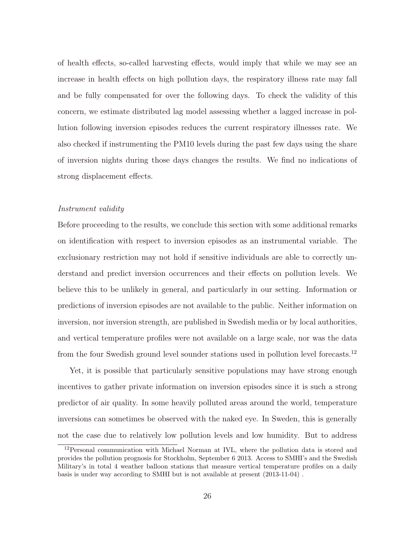of health effects, so-called harvesting effects, would imply that while we may see an increase in health effects on high pollution days, the respiratory illness rate may fall and be fully compensated for over the following days. To check the validity of this concern, we estimate distributed lag model assessing whether a lagged increase in pollution following inversion episodes reduces the current respiratory illnesses rate. We also checked if instrumenting the PM10 levels during the past few days using the share of inversion nights during those days changes the results. We find no indications of strong displacement effects.

#### Instrument validity

Before proceeding to the results, we conclude this section with some additional remarks on identification with respect to inversion episodes as an instrumental variable. The exclusionary restriction may not hold if sensitive individuals are able to correctly understand and predict inversion occurrences and their effects on pollution levels. We believe this to be unlikely in general, and particularly in our setting. Information or predictions of inversion episodes are not available to the public. Neither information on inversion, nor inversion strength, are published in Swedish media or by local authorities, and vertical temperature profiles were not available on a large scale, nor was the data from the four Swedish ground level sounder stations used in pollution level forecasts.<sup>12</sup>

Yet, it is possible that particularly sensitive populations may have strong enough incentives to gather private information on inversion episodes since it is such a strong predictor of air quality. In some heavily polluted areas around the world, temperature inversions can sometimes be observed with the naked eye. In Sweden, this is generally not the case due to relatively low pollution levels and low humidity. But to address

<sup>12</sup>Personal communication with Michael Norman at IVL, where the pollution data is stored and provides the pollution prognosis for Stockholm, September 6 2013. Access to SMHI's and the Swedish Military's in total 4 weather balloon stations that measure vertical temperature profiles on a daily basis is under way according to SMHI but is not available at present (2013-11-04) .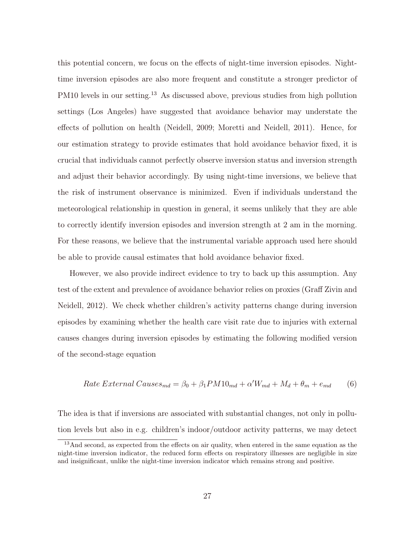this potential concern, we focus on the effects of night-time inversion episodes. Nighttime inversion episodes are also more frequent and constitute a stronger predictor of PM10 levels in our setting.<sup>13</sup> As discussed above, previous studies from high pollution settings (Los Angeles) have suggested that avoidance behavior may understate the effects of pollution on health (Neidell, 2009; Moretti and Neidell, 2011). Hence, for our estimation strategy to provide estimates that hold avoidance behavior fixed, it is crucial that individuals cannot perfectly observe inversion status and inversion strength and adjust their behavior accordingly. By using night-time inversions, we believe that the risk of instrument observance is minimized. Even if individuals understand the meteorological relationship in question in general, it seems unlikely that they are able to correctly identify inversion episodes and inversion strength at 2 am in the morning. For these reasons, we believe that the instrumental variable approach used here should be able to provide causal estimates that hold avoidance behavior fixed.

However, we also provide indirect evidence to try to back up this assumption. Any test of the extent and prevalence of avoidance behavior relies on proxies (Graff Zivin and Neidell, 2012). We check whether children's activity patterns change during inversion episodes by examining whether the health care visit rate due to injuries with external causes changes during inversion episodes by estimating the following modified version of the second-stage equation

Rate External Causes<sub>md</sub> = 
$$
\beta_0 + \beta_1 PM10_{md} + \alpha' W_{md} + M_d + \theta_m + e_{md}
$$
 (6)

The idea is that if inversions are associated with substantial changes, not only in pollution levels but also in e.g. children's indoor/outdoor activity patterns, we may detect

<sup>&</sup>lt;sup>13</sup>And second, as expected from the effects on air quality, when entered in the same equation as the night-time inversion indicator, the reduced form effects on respiratory illnesses are negligible in size and insignificant, unlike the night-time inversion indicator which remains strong and positive.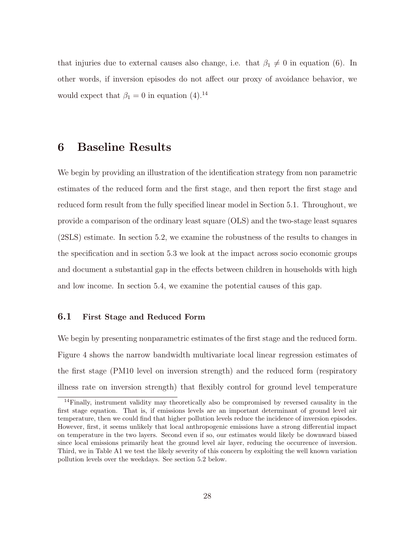that injuries due to external causes also change, i.e. that  $\beta_1 \neq 0$  in equation (6). In other words, if inversion episodes do not affect our proxy of avoidance behavior, we would expect that  $\beta_1 = 0$  in equation (4).<sup>14</sup>

### 6 Baseline Results

We begin by providing an illustration of the identification strategy from non parametric estimates of the reduced form and the first stage, and then report the first stage and reduced form result from the fully specified linear model in Section 5.1. Throughout, we provide a comparison of the ordinary least square (OLS) and the two-stage least squares (2SLS) estimate. In section 5.2, we examine the robustness of the results to changes in the specification and in section 5.3 we look at the impact across socio economic groups and document a substantial gap in the effects between children in households with high and low income. In section 5.4, we examine the potential causes of this gap.

### 6.1 First Stage and Reduced Form

We begin by presenting nonparametric estimates of the first stage and the reduced form. Figure 4 shows the narrow bandwidth multivariate local linear regression estimates of the first stage (PM10 level on inversion strength) and the reduced form (respiratory illness rate on inversion strength) that flexibly control for ground level temperature

<sup>&</sup>lt;sup>14</sup>Finally, instrument validity may theoretically also be compromised by reversed causality in the first stage equation. That is, if emissions levels are an important determinant of ground level air temperature, then we could find that higher pollution levels reduce the incidence of inversion episodes. However, first, it seems unlikely that local anthropogenic emissions have a strong differential impact on temperature in the two layers. Second even if so, our estimates would likely be downward biased since local emissions primarily heat the ground level air layer, reducing the occurrence of inversion. Third, we in Table A1 we test the likely severity of this concern by exploiting the well known variation pollution levels over the weekdays. See section 5.2 below.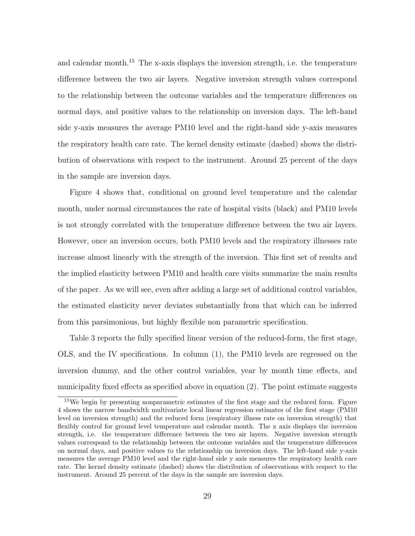and calendar month.<sup>15</sup> The x-axis displays the inversion strength, i.e. the temperature difference between the two air layers. Negative inversion strength values correspond to the relationship between the outcome variables and the temperature differences on normal days, and positive values to the relationship on inversion days. The left-hand side y-axis measures the average PM10 level and the right-hand side y-axis measures the respiratory health care rate. The kernel density estimate (dashed) shows the distribution of observations with respect to the instrument. Around 25 percent of the days in the sample are inversion days.

Figure 4 shows that, conditional on ground level temperature and the calendar month, under normal circumstances the rate of hospital visits (black) and PM10 levels is not strongly correlated with the temperature difference between the two air layers. However, once an inversion occurs, both PM10 levels and the respiratory illnesses rate increase almost linearly with the strength of the inversion. This first set of results and the implied elasticity between PM10 and health care visits summarize the main results of the paper. As we will see, even after adding a large set of additional control variables, the estimated elasticity never deviates substantially from that which can be inferred from this parsimonious, but highly flexible non parametric specification.

Table 3 reports the fully specified linear version of the reduced-form, the first stage, OLS, and the IV specifications. In column (1), the PM10 levels are regressed on the inversion dummy, and the other control variables, year by month time effects, and municipality fixed effects as specified above in equation (2). The point estimate suggests

<sup>&</sup>lt;sup>15</sup>We begin by presenting nonparametric estimates of the first stage and the reduced form. Figure 4 shows the narrow bandwidth multivariate local linear regression estimates of the first stage (PM10 level on inversion strength) and the reduced form (respiratory illness rate on inversion strength) that flexibly control for ground level temperature and calendar month. The x axis displays the inversion strength, i.e. the temperature difference between the two air layers. Negative inversion strength values correspond to the relationship between the outcome variables and the temperature differences on normal days, and positive values to the relationship on inversion days. The left-hand side y-axis measures the average PM10 level and the right-hand side y axis measures the respiratory health care rate. The kernel density estimate (dashed) shows the distribution of observations with respect to the instrument. Around 25 percent of the days in the sample are inversion days.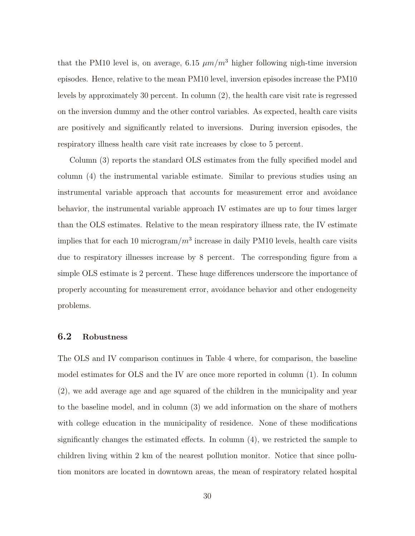that the PM10 level is, on average, 6.15  $\mu m/m^3$  higher following nigh-time inversion episodes. Hence, relative to the mean PM10 level, inversion episodes increase the PM10 levels by approximately 30 percent. In column (2), the health care visit rate is regressed on the inversion dummy and the other control variables. As expected, health care visits are positively and significantly related to inversions. During inversion episodes, the respiratory illness health care visit rate increases by close to 5 percent.

Column (3) reports the standard OLS estimates from the fully specified model and column (4) the instrumental variable estimate. Similar to previous studies using an instrumental variable approach that accounts for measurement error and avoidance behavior, the instrumental variable approach IV estimates are up to four times larger than the OLS estimates. Relative to the mean respiratory illness rate, the IV estimate implies that for each 10 microgram/ $m<sup>3</sup>$  increase in daily PM10 levels, health care visits due to respiratory illnesses increase by 8 percent. The corresponding figure from a simple OLS estimate is 2 percent. These huge differences underscore the importance of properly accounting for measurement error, avoidance behavior and other endogeneity problems.

### 6.2 Robustness

The OLS and IV comparison continues in Table 4 where, for comparison, the baseline model estimates for OLS and the IV are once more reported in column (1). In column (2), we add average age and age squared of the children in the municipality and year to the baseline model, and in column (3) we add information on the share of mothers with college education in the municipality of residence. None of these modifications significantly changes the estimated effects. In column (4), we restricted the sample to children living within 2 km of the nearest pollution monitor. Notice that since pollution monitors are located in downtown areas, the mean of respiratory related hospital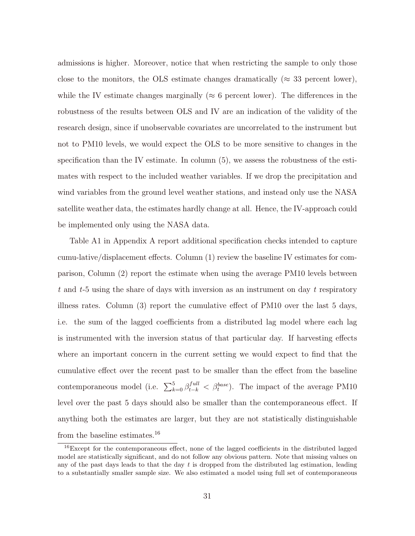admissions is higher. Moreover, notice that when restricting the sample to only those close to the monitors, the OLS estimate changes dramatically ( $\approx$  33 percent lower), while the IV estimate changes marginally ( $\approx 6$  percent lower). The differences in the robustness of the results between OLS and IV are an indication of the validity of the research design, since if unobservable covariates are uncorrelated to the instrument but not to PM10 levels, we would expect the OLS to be more sensitive to changes in the specification than the IV estimate. In column  $(5)$ , we assess the robustness of the estimates with respect to the included weather variables. If we drop the precipitation and wind variables from the ground level weather stations, and instead only use the NASA satellite weather data, the estimates hardly change at all. Hence, the IV-approach could be implemented only using the NASA data.

Table A1 in Appendix A report additional specification checks intended to capture cumu-lative/displacement effects. Column (1) review the baseline IV estimates for comparison, Column (2) report the estimate when using the average PM10 levels between  $t$  and  $t$ -5 using the share of days with inversion as an instrument on day  $t$  respiratory illness rates. Column (3) report the cumulative effect of PM10 over the last 5 days, i.e. the sum of the lagged coefficients from a distributed lag model where each lag is instrumented with the inversion status of that particular day. If harvesting effects where an important concern in the current setting we would expect to find that the cumulative effect over the recent past to be smaller than the effect from the baseline contemporaneous model (i.e.  $\sum_{k=0}^{5} \beta_{t-k}^{full} < \beta_{t}^{base}$ ). The impact of the average PM10 level over the past 5 days should also be smaller than the contemporaneous effect. If anything both the estimates are larger, but they are not statistically distinguishable from the baseline estimates.<sup>16</sup>

<sup>&</sup>lt;sup>16</sup>Except for the contemporaneous effect, none of the lagged coefficients in the distributed lagged model are statistically significant, and do not follow any obvious pattern. Note that missing values on any of the past days leads to that the day  $t$  is dropped from the distributed lag estimation, leading to a substantially smaller sample size. We also estimated a model using full set of contemporaneous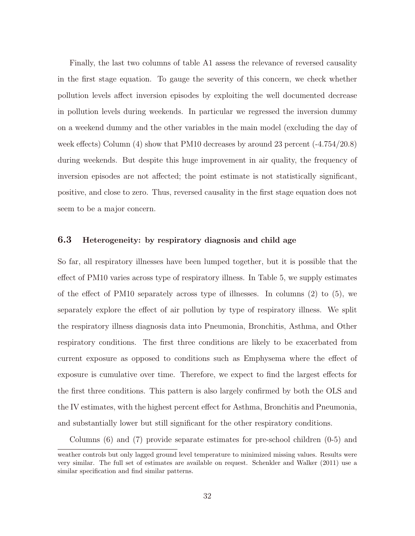Finally, the last two columns of table A1 assess the relevance of reversed causality in the first stage equation. To gauge the severity of this concern, we check whether pollution levels affect inversion episodes by exploiting the well documented decrease in pollution levels during weekends. In particular we regressed the inversion dummy on a weekend dummy and the other variables in the main model (excluding the day of week effects) Column (4) show that PM10 decreases by around 23 percent (-4.754/20.8) during weekends. But despite this huge improvement in air quality, the frequency of inversion episodes are not affected; the point estimate is not statistically significant, positive, and close to zero. Thus, reversed causality in the first stage equation does not seem to be a major concern.

### 6.3 Heterogeneity: by respiratory diagnosis and child age

So far, all respiratory illnesses have been lumped together, but it is possible that the effect of PM10 varies across type of respiratory illness. In Table 5, we supply estimates of the effect of PM10 separately across type of illnesses. In columns (2) to (5), we separately explore the effect of air pollution by type of respiratory illness. We split the respiratory illness diagnosis data into Pneumonia, Bronchitis, Asthma, and Other respiratory conditions. The first three conditions are likely to be exacerbated from current exposure as opposed to conditions such as Emphysema where the effect of exposure is cumulative over time. Therefore, we expect to find the largest effects for the first three conditions. This pattern is also largely confirmed by both the OLS and the IV estimates, with the highest percent effect for Asthma, Bronchitis and Pneumonia, and substantially lower but still significant for the other respiratory conditions.

Columns (6) and (7) provide separate estimates for pre-school children (0-5) and

weather controls but only lagged ground level temperature to minimized missing values. Results were very similar. The full set of estimates are available on request. Schenkler and Walker (2011) use a similar specification and find similar patterns.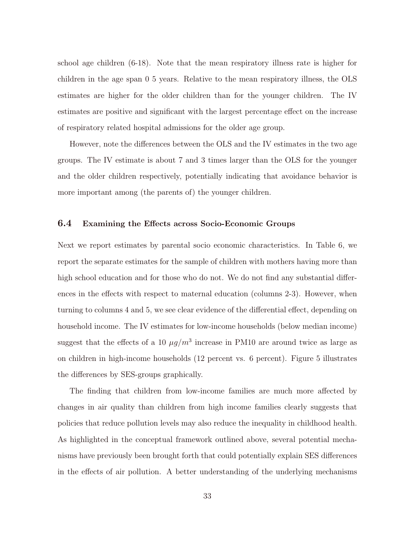school age children (6-18). Note that the mean respiratory illness rate is higher for children in the age span 0 5 years. Relative to the mean respiratory illness, the OLS estimates are higher for the older children than for the younger children. The IV estimates are positive and significant with the largest percentage effect on the increase of respiratory related hospital admissions for the older age group.

However, note the differences between the OLS and the IV estimates in the two age groups. The IV estimate is about 7 and 3 times larger than the OLS for the younger and the older children respectively, potentially indicating that avoidance behavior is more important among (the parents of) the younger children.

### 6.4 Examining the Effects across Socio-Economic Groups

Next we report estimates by parental socio economic characteristics. In Table 6, we report the separate estimates for the sample of children with mothers having more than high school education and for those who do not. We do not find any substantial differences in the effects with respect to maternal education (columns 2-3). However, when turning to columns 4 and 5, we see clear evidence of the differential effect, depending on household income. The IV estimates for low-income households (below median income) suggest that the effects of a 10  $\mu g/m^3$  increase in PM10 are around twice as large as on children in high-income households (12 percent vs. 6 percent). Figure 5 illustrates the differences by SES-groups graphically.

The finding that children from low-income families are much more affected by changes in air quality than children from high income families clearly suggests that policies that reduce pollution levels may also reduce the inequality in childhood health. As highlighted in the conceptual framework outlined above, several potential mechanisms have previously been brought forth that could potentially explain SES differences in the effects of air pollution. A better understanding of the underlying mechanisms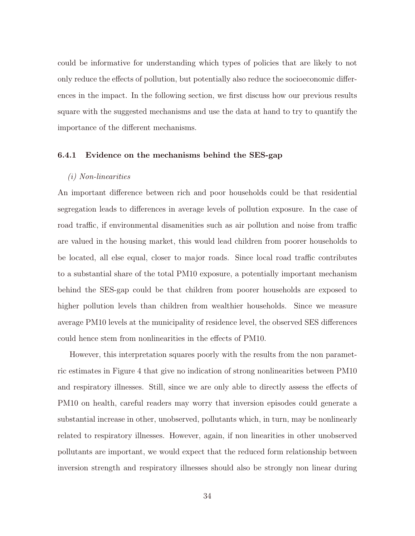could be informative for understanding which types of policies that are likely to not only reduce the effects of pollution, but potentially also reduce the socioeconomic differences in the impact. In the following section, we first discuss how our previous results square with the suggested mechanisms and use the data at hand to try to quantify the importance of the different mechanisms.

#### 6.4.1 Evidence on the mechanisms behind the SES-gap

#### (i) Non-linearities

An important difference between rich and poor households could be that residential segregation leads to differences in average levels of pollution exposure. In the case of road traffic, if environmental disamenities such as air pollution and noise from traffic are valued in the housing market, this would lead children from poorer households to be located, all else equal, closer to major roads. Since local road traffic contributes to a substantial share of the total PM10 exposure, a potentially important mechanism behind the SES-gap could be that children from poorer households are exposed to higher pollution levels than children from wealthier households. Since we measure average PM10 levels at the municipality of residence level, the observed SES differences could hence stem from nonlinearities in the effects of PM10.

However, this interpretation squares poorly with the results from the non parametric estimates in Figure 4 that give no indication of strong nonlinearities between PM10 and respiratory illnesses. Still, since we are only able to directly assess the effects of PM10 on health, careful readers may worry that inversion episodes could generate a substantial increase in other, unobserved, pollutants which, in turn, may be nonlinearly related to respiratory illnesses. However, again, if non linearities in other unobserved pollutants are important, we would expect that the reduced form relationship between inversion strength and respiratory illnesses should also be strongly non linear during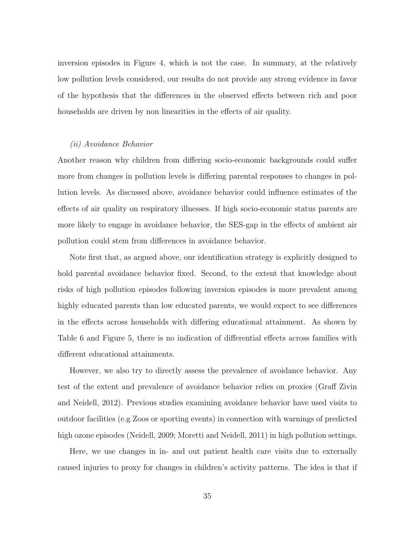inversion episodes in Figure 4, which is not the case. In summary, at the relatively low pollution levels considered, our results do not provide any strong evidence in favor of the hypothesis that the differences in the observed effects between rich and poor households are driven by non linearities in the effects of air quality.

#### (ii) Avoidance Behavior

Another reason why children from differing socio-economic backgrounds could suffer more from changes in pollution levels is differing parental responses to changes in pollution levels. As discussed above, avoidance behavior could influence estimates of the effects of air quality on respiratory illnesses. If high socio-economic status parents are more likely to engage in avoidance behavior, the SES-gap in the effects of ambient air pollution could stem from differences in avoidance behavior.

Note first that, as argued above, our identification strategy is explicitly designed to hold parental avoidance behavior fixed. Second, to the extent that knowledge about risks of high pollution episodes following inversion episodes is more prevalent among highly educated parents than low educated parents, we would expect to see differences in the effects across households with differing educational attainment. As shown by Table 6 and Figure 5, there is no indication of differential effects across families with different educational attainments.

However, we also try to directly assess the prevalence of avoidance behavior. Any test of the extent and prevalence of avoidance behavior relies on proxies (Graff Zivin and Neidell, 2012). Previous studies examining avoidance behavior have used visits to outdoor facilities (e.g Zoos or sporting events) in connection with warnings of predicted high ozone episodes (Neidell, 2009; Moretti and Neidell, 2011) in high pollution settings.

Here, we use changes in in- and out patient health care visits due to externally caused injuries to proxy for changes in children's activity patterns. The idea is that if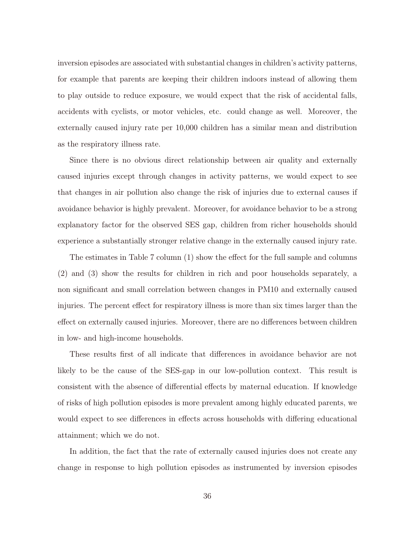inversion episodes are associated with substantial changes in children's activity patterns, for example that parents are keeping their children indoors instead of allowing them to play outside to reduce exposure, we would expect that the risk of accidental falls, accidents with cyclists, or motor vehicles, etc. could change as well. Moreover, the externally caused injury rate per 10,000 children has a similar mean and distribution as the respiratory illness rate.

Since there is no obvious direct relationship between air quality and externally caused injuries except through changes in activity patterns, we would expect to see that changes in air pollution also change the risk of injuries due to external causes if avoidance behavior is highly prevalent. Moreover, for avoidance behavior to be a strong explanatory factor for the observed SES gap, children from richer households should experience a substantially stronger relative change in the externally caused injury rate.

The estimates in Table 7 column (1) show the effect for the full sample and columns (2) and (3) show the results for children in rich and poor households separately, a non significant and small correlation between changes in PM10 and externally caused injuries. The percent effect for respiratory illness is more than six times larger than the effect on externally caused injuries. Moreover, there are no differences between children in low- and high-income households.

These results first of all indicate that differences in avoidance behavior are not likely to be the cause of the SES-gap in our low-pollution context. This result is consistent with the absence of differential effects by maternal education. If knowledge of risks of high pollution episodes is more prevalent among highly educated parents, we would expect to see differences in effects across households with differing educational attainment; which we do not.

In addition, the fact that the rate of externally caused injuries does not create any change in response to high pollution episodes as instrumented by inversion episodes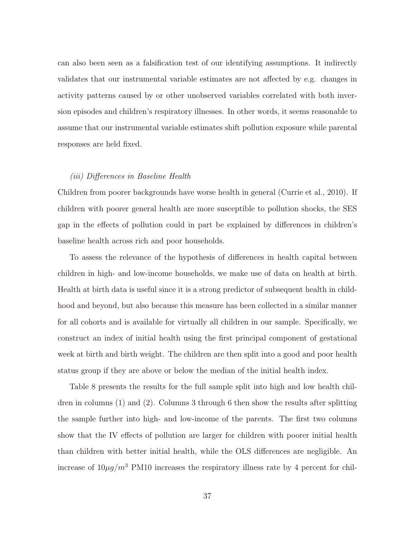can also been seen as a falsification test of our identifying assumptions. It indirectly validates that our instrumental variable estimates are not affected by e.g. changes in activity patterns caused by or other unobserved variables correlated with both inversion episodes and children's respiratory illnesses. In other words, it seems reasonable to assume that our instrumental variable estimates shift pollution exposure while parental responses are held fixed.

#### (iii) Differences in Baseline Health

Children from poorer backgrounds have worse health in general (Currie et al., 2010). If children with poorer general health are more susceptible to pollution shocks, the SES gap in the effects of pollution could in part be explained by differences in children's baseline health across rich and poor households.

To assess the relevance of the hypothesis of differences in health capital between children in high- and low-income households, we make use of data on health at birth. Health at birth data is useful since it is a strong predictor of subsequent health in childhood and beyond, but also because this measure has been collected in a similar manner for all cohorts and is available for virtually all children in our sample. Specifically, we construct an index of initial health using the first principal component of gestational week at birth and birth weight. The children are then split into a good and poor health status group if they are above or below the median of the initial health index.

Table 8 presents the results for the full sample split into high and low health children in columns (1) and (2). Columns 3 through 6 then show the results after splitting the sample further into high- and low-income of the parents. The first two columns show that the IV effects of pollution are larger for children with poorer initial health than children with better initial health, while the OLS differences are negligible. An increase of  $10\mu g/m^3$  PM10 increases the respiratory illness rate by 4 percent for chil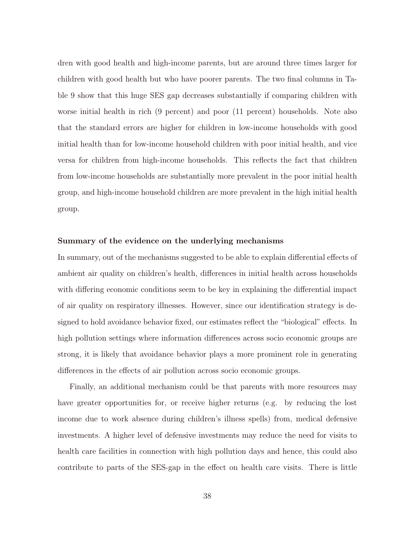dren with good health and high-income parents, but are around three times larger for children with good health but who have poorer parents. The two final columns in Table 9 show that this huge SES gap decreases substantially if comparing children with worse initial health in rich (9 percent) and poor (11 percent) households. Note also that the standard errors are higher for children in low-income households with good initial health than for low-income household children with poor initial health, and vice versa for children from high-income households. This reflects the fact that children from low-income households are substantially more prevalent in the poor initial health group, and high-income household children are more prevalent in the high initial health group.

#### Summary of the evidence on the underlying mechanisms

In summary, out of the mechanisms suggested to be able to explain differential effects of ambient air quality on children's health, differences in initial health across households with differing economic conditions seem to be key in explaining the differential impact of air quality on respiratory illnesses. However, since our identification strategy is designed to hold avoidance behavior fixed, our estimates reflect the "biological" effects. In high pollution settings where information differences across socio economic groups are strong, it is likely that avoidance behavior plays a more prominent role in generating differences in the effects of air pollution across socio economic groups.

Finally, an additional mechanism could be that parents with more resources may have greater opportunities for, or receive higher returns (e.g. by reducing the lost income due to work absence during children's illness spells) from, medical defensive investments. A higher level of defensive investments may reduce the need for visits to health care facilities in connection with high pollution days and hence, this could also contribute to parts of the SES-gap in the effect on health care visits. There is little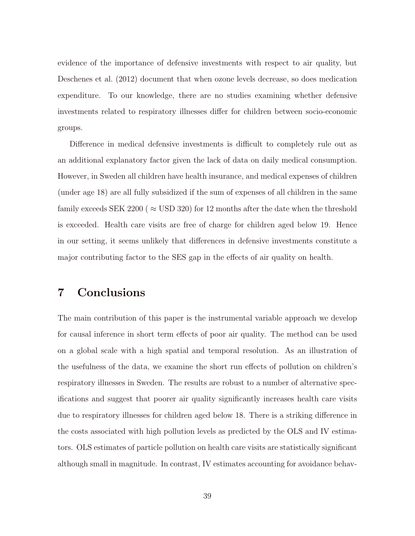evidence of the importance of defensive investments with respect to air quality, but Deschenes et al. (2012) document that when ozone levels decrease, so does medication expenditure. To our knowledge, there are no studies examining whether defensive investments related to respiratory illnesses differ for children between socio-economic groups.

Difference in medical defensive investments is difficult to completely rule out as an additional explanatory factor given the lack of data on daily medical consumption. However, in Sweden all children have health insurance, and medical expenses of children (under age 18) are all fully subsidized if the sum of expenses of all children in the same family exceeds SEK 2200 ( $\approx$  USD 320) for 12 months after the date when the threshold is exceeded. Health care visits are free of charge for children aged below 19. Hence in our setting, it seems unlikely that differences in defensive investments constitute a major contributing factor to the SES gap in the effects of air quality on health.

### 7 Conclusions

The main contribution of this paper is the instrumental variable approach we develop for causal inference in short term effects of poor air quality. The method can be used on a global scale with a high spatial and temporal resolution. As an illustration of the usefulness of the data, we examine the short run effects of pollution on children's respiratory illnesses in Sweden. The results are robust to a number of alternative specifications and suggest that poorer air quality significantly increases health care visits due to respiratory illnesses for children aged below 18. There is a striking difference in the costs associated with high pollution levels as predicted by the OLS and IV estimators. OLS estimates of particle pollution on health care visits are statistically significant although small in magnitude. In contrast, IV estimates accounting for avoidance behav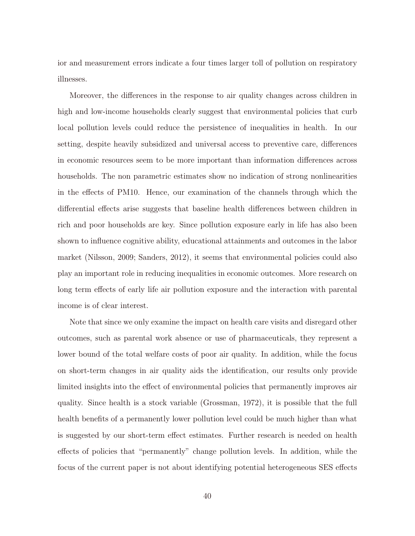ior and measurement errors indicate a four times larger toll of pollution on respiratory illnesses.

Moreover, the differences in the response to air quality changes across children in high and low-income households clearly suggest that environmental policies that curb local pollution levels could reduce the persistence of inequalities in health. In our setting, despite heavily subsidized and universal access to preventive care, differences in economic resources seem to be more important than information differences across households. The non parametric estimates show no indication of strong nonlinearities in the effects of PM10. Hence, our examination of the channels through which the differential effects arise suggests that baseline health differences between children in rich and poor households are key. Since pollution exposure early in life has also been shown to influence cognitive ability, educational attainments and outcomes in the labor market (Nilsson, 2009; Sanders, 2012), it seems that environmental policies could also play an important role in reducing inequalities in economic outcomes. More research on long term effects of early life air pollution exposure and the interaction with parental income is of clear interest.

Note that since we only examine the impact on health care visits and disregard other outcomes, such as parental work absence or use of pharmaceuticals, they represent a lower bound of the total welfare costs of poor air quality. In addition, while the focus on short-term changes in air quality aids the identification, our results only provide limited insights into the effect of environmental policies that permanently improves air quality. Since health is a stock variable (Grossman, 1972), it is possible that the full health benefits of a permanently lower pollution level could be much higher than what is suggested by our short-term effect estimates. Further research is needed on health effects of policies that "permanently" change pollution levels. In addition, while the focus of the current paper is not about identifying potential heterogeneous SES effects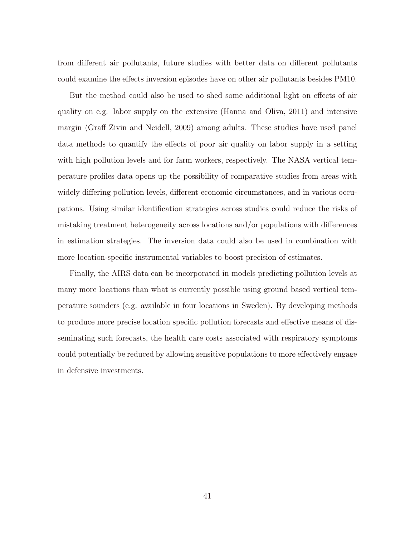from different air pollutants, future studies with better data on different pollutants could examine the effects inversion episodes have on other air pollutants besides PM10.

But the method could also be used to shed some additional light on effects of air quality on e.g. labor supply on the extensive (Hanna and Oliva, 2011) and intensive margin (Graff Zivin and Neidell, 2009) among adults. These studies have used panel data methods to quantify the effects of poor air quality on labor supply in a setting with high pollution levels and for farm workers, respectively. The NASA vertical temperature profiles data opens up the possibility of comparative studies from areas with widely differing pollution levels, different economic circumstances, and in various occupations. Using similar identification strategies across studies could reduce the risks of mistaking treatment heterogeneity across locations and/or populations with differences in estimation strategies. The inversion data could also be used in combination with more location-specific instrumental variables to boost precision of estimates.

Finally, the AIRS data can be incorporated in models predicting pollution levels at many more locations than what is currently possible using ground based vertical temperature sounders (e.g. available in four locations in Sweden). By developing methods to produce more precise location specific pollution forecasts and effective means of disseminating such forecasts, the health care costs associated with respiratory symptoms could potentially be reduced by allowing sensitive populations to more effectively engage in defensive investments.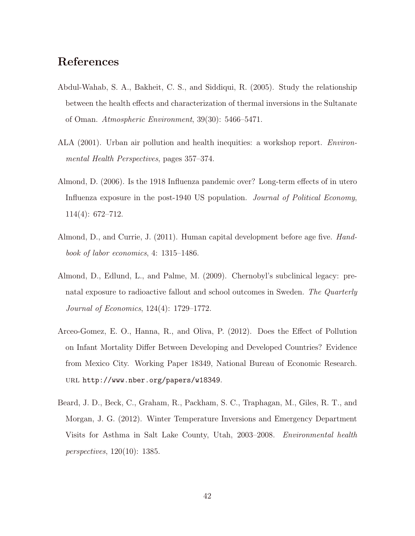### References

- Abdul-Wahab, S. A., Bakheit, C. S., and Siddiqui, R. (2005). Study the relationship between the health effects and characterization of thermal inversions in the Sultanate of Oman. Atmospheric Environment, 39(30): 5466–5471.
- ALA (2001). Urban air pollution and health inequities: a workshop report. Environmental Health Perspectives, pages 357–374.
- Almond, D. (2006). Is the 1918 Influenza pandemic over? Long-term effects of in utero Influenza exposure in the post-1940 US population. *Journal of Political Economy*, 114(4): 672–712.
- Almond, D., and Currie, J. (2011). Human capital development before age five. Handbook of labor economics, 4: 1315–1486.
- Almond, D., Edlund, L., and Palme, M. (2009). Chernobyl's subclinical legacy: prenatal exposure to radioactive fallout and school outcomes in Sweden. The Quarterly Journal of Economics, 124(4): 1729–1772.
- Arceo-Gomez, E. O., Hanna, R., and Oliva, P. (2012). Does the Effect of Pollution on Infant Mortality Differ Between Developing and Developed Countries? Evidence from Mexico City. Working Paper 18349, National Bureau of Economic Research. url http://www.nber.org/papers/w18349.
- Beard, J. D., Beck, C., Graham, R., Packham, S. C., Traphagan, M., Giles, R. T., and Morgan, J. G. (2012). Winter Temperature Inversions and Emergency Department Visits for Asthma in Salt Lake County, Utah, 2003–2008. Environmental health perspectives, 120(10): 1385.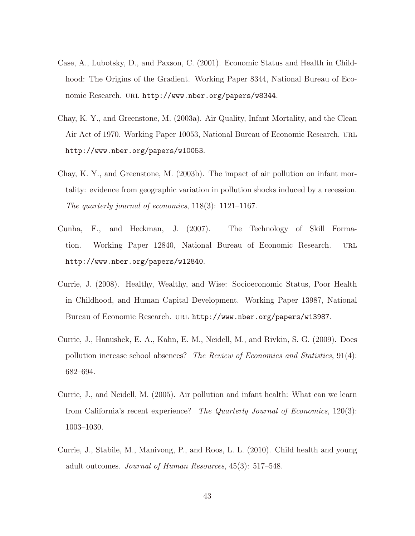- Case, A., Lubotsky, D., and Paxson, C. (2001). Economic Status and Health in Childhood: The Origins of the Gradient. Working Paper 8344, National Bureau of Economic Research. url http://www.nber.org/papers/w8344.
- Chay, K. Y., and Greenstone, M. (2003a). Air Quality, Infant Mortality, and the Clean Air Act of 1970. Working Paper 10053, National Bureau of Economic Research. url http://www.nber.org/papers/w10053.
- Chay, K. Y., and Greenstone, M. (2003b). The impact of air pollution on infant mortality: evidence from geographic variation in pollution shocks induced by a recession. The quarterly journal of economics, 118(3): 1121–1167.
- Cunha, F., and Heckman, J. (2007). The Technology of Skill Formation. Working Paper 12840, National Bureau of Economic Research. URL http://www.nber.org/papers/w12840.
- Currie, J. (2008). Healthy, Wealthy, and Wise: Socioeconomic Status, Poor Health in Childhood, and Human Capital Development. Working Paper 13987, National Bureau of Economic Research. URL http://www.nber.org/papers/w13987.
- Currie, J., Hanushek, E. A., Kahn, E. M., Neidell, M., and Rivkin, S. G. (2009). Does pollution increase school absences? The Review of Economics and Statistics, 91(4): 682–694.
- Currie, J., and Neidell, M. (2005). Air pollution and infant health: What can we learn from California's recent experience? The Quarterly Journal of Economics, 120(3): 1003–1030.
- Currie, J., Stabile, M., Manivong, P., and Roos, L. L. (2010). Child health and young adult outcomes. Journal of Human Resources, 45(3): 517–548.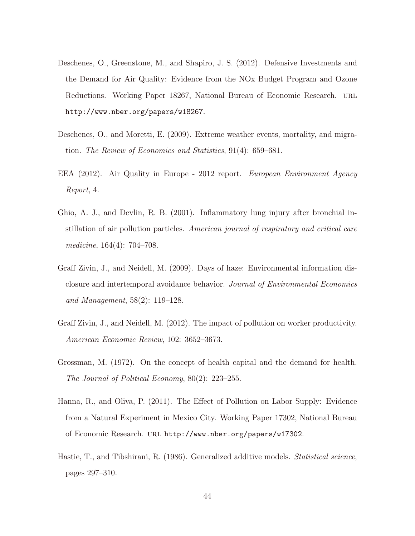- Deschenes, O., Greenstone, M., and Shapiro, J. S. (2012). Defensive Investments and the Demand for Air Quality: Evidence from the NOx Budget Program and Ozone Reductions. Working Paper 18267, National Bureau of Economic Research. URL http://www.nber.org/papers/w18267.
- Deschenes, O., and Moretti, E. (2009). Extreme weather events, mortality, and migration. The Review of Economics and Statistics, 91(4): 659–681.
- EEA (2012). Air Quality in Europe 2012 report. European Environment Agency Report, 4.
- Ghio, A. J., and Devlin, R. B. (2001). Inflammatory lung injury after bronchial instillation of air pollution particles. American journal of respiratory and critical care medicine, 164(4): 704–708.
- Graff Zivin, J., and Neidell, M. (2009). Days of haze: Environmental information disclosure and intertemporal avoidance behavior. Journal of Environmental Economics and Management, 58(2): 119–128.
- Graff Zivin, J., and Neidell, M. (2012). The impact of pollution on worker productivity. American Economic Review, 102: 3652–3673.
- Grossman, M. (1972). On the concept of health capital and the demand for health. The Journal of Political Economy, 80(2): 223–255.
- Hanna, R., and Oliva, P. (2011). The Effect of Pollution on Labor Supply: Evidence from a Natural Experiment in Mexico City. Working Paper 17302, National Bureau of Economic Research. url http://www.nber.org/papers/w17302.
- Hastie, T., and Tibshirani, R. (1986). Generalized additive models. *Statistical science*, pages 297–310.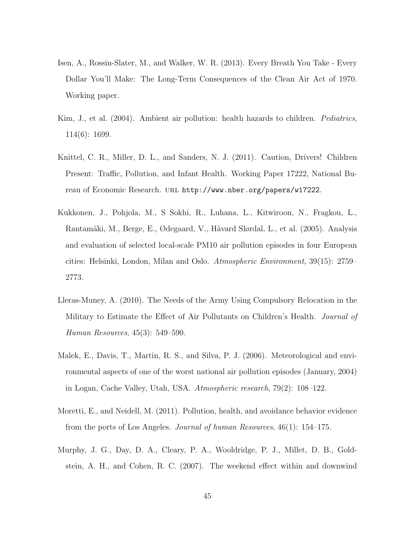- Isen, A., Rossin-Slater, M., and Walker, W. R. (2013). Every Breath You Take Every Dollar You'll Make: The Long-Term Consequences of the Clean Air Act of 1970. Working paper.
- Kim, J., et al. (2004). Ambient air pollution: health hazards to children. Pediatrics, 114(6): 1699.
- Knittel, C. R., Miller, D. L., and Sanders, N. J. (2011). Caution, Drivers! Children Present: Traffic, Pollution, and Infant Health. Working Paper 17222, National Bureau of Economic Research. URL http://www.nber.org/papers/w17222.
- Kukkonen, J., Pohjola, M., S Sokhi, R., Luhana, L., Kitwiroon, N., Fragkou, L., Rantamäki, M., Berge, E., Ødegaard, V., Håvard Slørdal, L., et al. (2005). Analysis and evaluation of selected local-scale PM10 air pollution episodes in four European cities: Helsinki, London, Milan and Oslo. Atmospheric Environment, 39(15): 2759– 2773.
- Lleras-Muney, A. (2010). The Needs of the Army Using Compulsory Relocation in the Military to Estimate the Effect of Air Pollutants on Children's Health. Journal of Human Resources, 45(3): 549–590.
- Malek, E., Davis, T., Martin, R. S., and Silva, P. J. (2006). Meteorological and environmental aspects of one of the worst national air pollution episodes (January, 2004) in Logan, Cache Valley, Utah, USA. Atmospheric research, 79(2): 108–122.
- Moretti, E., and Neidell, M. (2011). Pollution, health, and avoidance behavior evidence from the ports of Los Angeles. Journal of human Resources, 46(1): 154–175.
- Murphy, J. G., Day, D. A., Cleary, P. A., Wooldridge, P. J., Millet, D. B., Goldstein, A. H., and Cohen, R. C. (2007). The weekend effect within and downwind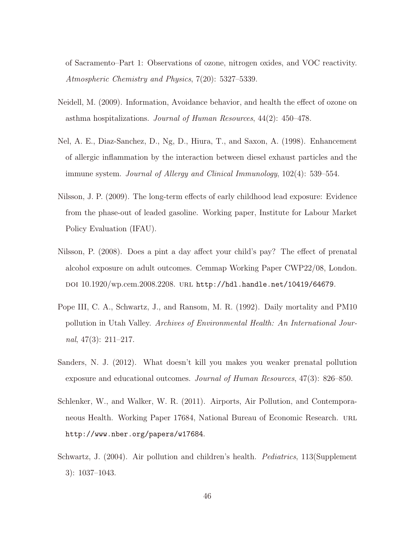of Sacramento–Part 1: Observations of ozone, nitrogen oxides, and VOC reactivity. Atmospheric Chemistry and Physics, 7(20): 5327–5339.

- Neidell, M. (2009). Information, Avoidance behavior, and health the effect of ozone on asthma hospitalizations. Journal of Human Resources, 44(2): 450–478.
- Nel, A. E., Diaz-Sanchez, D., Ng, D., Hiura, T., and Saxon, A. (1998). Enhancement of allergic inflammation by the interaction between diesel exhaust particles and the immune system. Journal of Allergy and Clinical Immunology, 102(4): 539–554.
- Nilsson, J. P. (2009). The long-term effects of early childhood lead exposure: Evidence from the phase-out of leaded gasoline. Working paper, Institute for Labour Market Policy Evaluation (IFAU).
- Nilsson, P. (2008). Does a pint a day affect your child's pay? The effect of prenatal alcohol exposure on adult outcomes. Cemmap Working Paper CWP22/08, London. doi 10.1920/wp.cem.2008.2208. url http://hdl.handle.net/10419/64679.
- Pope III, C. A., Schwartz, J., and Ransom, M. R. (1992). Daily mortality and PM10 pollution in Utah Valley. Archives of Environmental Health: An International Journal,  $47(3)$ :  $211-217$ .
- Sanders, N. J. (2012). What doesn't kill you makes you weaker prenatal pollution exposure and educational outcomes. Journal of Human Resources, 47(3): 826–850.
- Schlenker, W., and Walker, W. R. (2011). Airports, Air Pollution, and Contemporaneous Health. Working Paper 17684, National Bureau of Economic Research. URL http://www.nber.org/papers/w17684.
- Schwartz, J. (2004). Air pollution and children's health. Pediatrics, 113(Supplement 3): 1037–1043.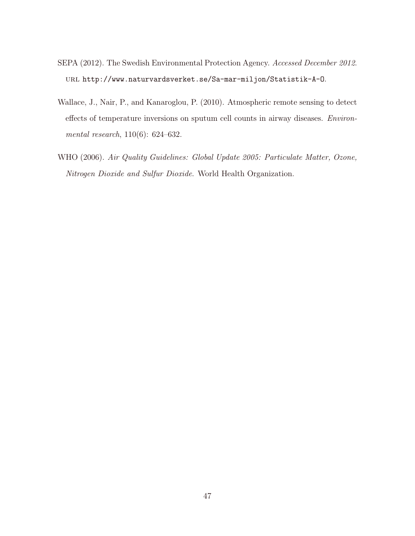- SEPA (2012). The Swedish Environmental Protection Agency. Accessed December 2012. url http://www.naturvardsverket.se/Sa-mar-miljon/Statistik-A-O.
- Wallace, J., Nair, P., and Kanaroglou, P. (2010). Atmospheric remote sensing to detect effects of temperature inversions on sputum cell counts in airway diseases. Environmental research, 110(6): 624–632.
- WHO (2006). Air Quality Guidelines: Global Update 2005: Particulate Matter, Ozone, Nitrogen Dioxide and Sulfur Dioxide. World Health Organization.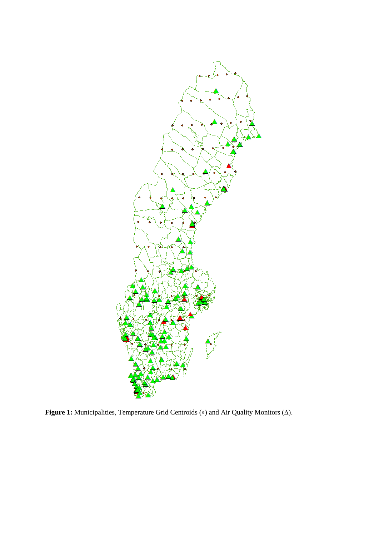

Figure 1: Municipalities, Temperature Grid Centroids ( $\circ$ ) and Air Quality Monitors ( $\Delta$ ).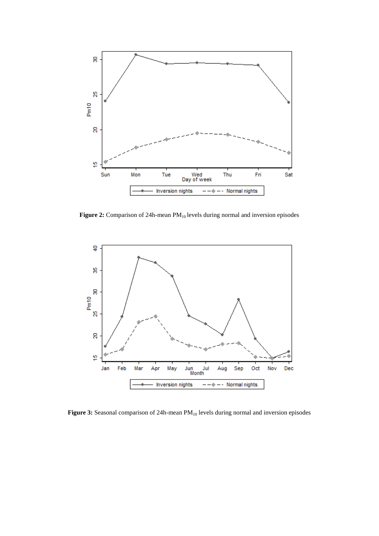

Figure 2: Comparison of 24h-mean PM<sub>10</sub> levels during normal and inversion episodes



Figure 3: Seasonal comparison of 24h-mean PM<sub>10</sub> levels during normal and inversion episodes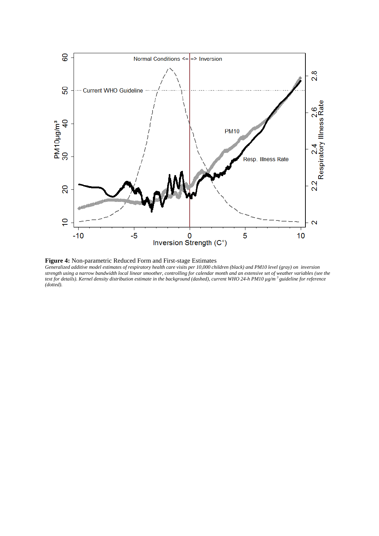

**Figure 4:** Non-parametric Reduced Form and First-stage Estimates

*Generalized additive model estimates of respiratory health care visits per 10,000 children (black) and PM10 level (gray) on inversion strength using a narrow bandwidth local linear smoother, controlling for calendar month and an extensive set of weather variables (see the text for details). Kernel density distribution estimate in the background (dashed), current WHO 24-h PM10 µg/m <sup>3</sup> guideline for reference (dotted).*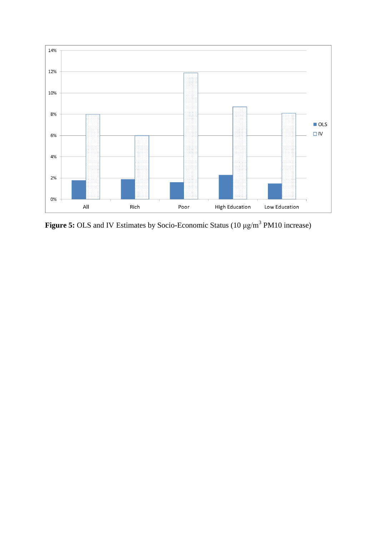

**Figure 5:** OLS and IV Estimates by Socio-Economic Status (10 μg/m<sup>3</sup> PM10 increase)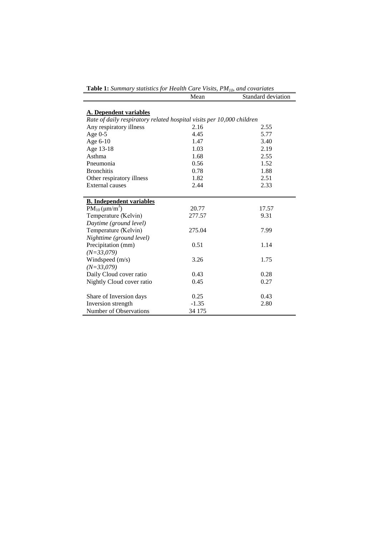| <b>Table 1:</b> Summary statistics for Health Care Visits, $PM_{10}$ , and covariates                  |         |                    |  |  |  |
|--------------------------------------------------------------------------------------------------------|---------|--------------------|--|--|--|
|                                                                                                        | Mean    | Standard deviation |  |  |  |
| <b>A. Dependent variables</b><br>Rate of daily respiratory related hospital visits per 10,000 children |         |                    |  |  |  |
| Any respiratory illness                                                                                | 2.16    | 2.55               |  |  |  |
| Age $0-5$                                                                                              | 4.45    | 5.77               |  |  |  |
| Age 6-10                                                                                               | 1.47    | 3.40               |  |  |  |
| Age 13-18                                                                                              | 1.03    | 2.19               |  |  |  |
| Asthma                                                                                                 | 1.68    | 2.55               |  |  |  |
| Pneumonia                                                                                              | 0.56    | 1.52               |  |  |  |
| <b>Bronchitis</b>                                                                                      | 0.78    | 1.88               |  |  |  |
| Other respiratory illness                                                                              | 1.82    | 2.51               |  |  |  |
| <b>External causes</b>                                                                                 | 2.44    | 2.33               |  |  |  |
|                                                                                                        |         |                    |  |  |  |
| <b>B.</b> Independent variables                                                                        |         |                    |  |  |  |
| $PM_{10}(\mu m/m^3)$                                                                                   | 20.77   | 17.57              |  |  |  |
| Temperature (Kelvin)                                                                                   | 277.57  | 9.31               |  |  |  |
| Daytime (ground level)                                                                                 |         |                    |  |  |  |
| Temperature (Kelvin)                                                                                   | 275.04  | 7.99               |  |  |  |
| Nighttime (ground level)                                                                               |         |                    |  |  |  |
| Precipitation (mm)                                                                                     | 0.51    | 1.14               |  |  |  |
| $(N=33,079)$                                                                                           |         |                    |  |  |  |
| Windspeed (m/s)                                                                                        | 3.26    | 1.75               |  |  |  |
| $(N=33,079)$                                                                                           |         |                    |  |  |  |
| Daily Cloud cover ratio                                                                                | 0.43    | 0.28               |  |  |  |
| Nightly Cloud cover ratio                                                                              | 0.45    | 0.27               |  |  |  |
| Share of Inversion days                                                                                | 0.25    | 0.43               |  |  |  |
| Inversion strength                                                                                     | $-1.35$ | 2.80               |  |  |  |
| Number of Observations                                                                                 | 34 175  |                    |  |  |  |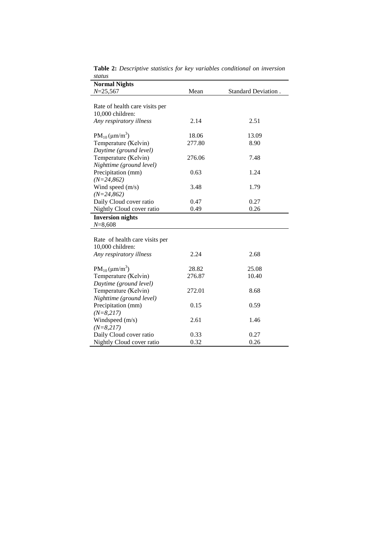| <b>Normal Nights</b>           |        |                     |
|--------------------------------|--------|---------------------|
| $N = 25,567$                   | Mean   | Standard Deviation. |
| Rate of health care visits per |        |                     |
| 10,000 children:               |        |                     |
| Any respiratory illness        | 2.14   | 2.51                |
|                                |        |                     |
| $PM_{10}(\mu m/m^3)$           | 18.06  | 13.09               |
| Temperature (Kelvin)           | 277.80 | 8.90                |
| Daytime (ground level)         |        |                     |
| Temperature (Kelvin)           | 276.06 | 7.48                |
| Nighttime (ground level)       |        |                     |
| Precipitation (mm)             | 0.63   | 1.24                |
| $(N=24,862)$                   |        |                     |
| Wind speed (m/s)               | 3.48   | 1.79                |
| $(N=24, 862)$                  |        |                     |
| Daily Cloud cover ratio        | 0.47   | 0.27                |
| Nightly Cloud cover ratio      | 0.49   | 0.26                |
| <b>Inversion nights</b>        |        |                     |
| $N = 8,608$                    |        |                     |
|                                |        |                     |
| Rate of health care visits per |        |                     |
| 10,000 children:               |        |                     |
| Any respiratory illness        | 2.24   | 2.68                |
| $PM_{10}(\mu m/m^3)$           | 28.82  | 25.08               |
| Temperature (Kelvin)           | 276.87 | 10.40               |
| Daytime (ground level)         |        |                     |
| Temperature (Kelvin)           | 272.01 | 8.68                |
| Nighttime (ground level)       |        |                     |
| Precipitation (mm)             | 0.15   | 0.59                |
| $(N=8,217)$                    |        |                     |
| Windspeed (m/s)                | 2.61   | 1.46                |
| $(N=8,217)$                    |        |                     |
| Daily Cloud cover ratio        | 0.33   | 0.27                |
| Nightly Cloud cover ratio      | 0.32   | 0.26                |

**Table 2:** *Descriptive statistics for key variables conditional on inversion status*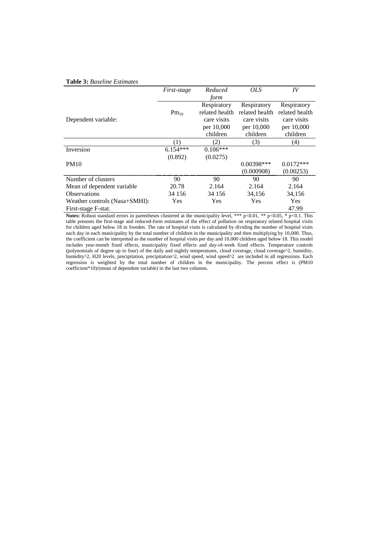#### **Table 3:** *Baseline Estimates*

|                               | First-stage | Reduced        | <i>OLS</i>     | IV             |
|-------------------------------|-------------|----------------|----------------|----------------|
|                               |             | form           |                |                |
|                               |             | Respiratory    | Respiratory    | Respiratory    |
|                               | $Pm_{10}$   | related health | related health | related health |
| Dependent variable:           |             | care visits    | care visits    | care visits    |
|                               |             | per 10,000     | per 10,000     | per 10,000     |
|                               |             | children       | children       | children       |
|                               | (1)         | 2)             | (3)            | (4)            |
| Inversion                     | $6.154***$  | $0.106***$     |                |                |
|                               | (0.892)     | (0.0275)       |                |                |
| <b>PM10</b>                   |             |                | $0.00398***$   | $0.0172***$    |
|                               |             |                | (0.000908)     | (0.00253)      |
| Number of clusters            | 90          | 90             | 90             | 90             |
| Mean of dependent variable.   | 20.78       | 2.164          | 2.164          | 2.164          |
| <b>Observations</b>           | 34 156      | 34 156         | 34,156         | 34,156         |
| Weather controls (Nasa+SMHI): | Yes         | Yes            | Yes            | Yes            |
| First-stage F-stat.           |             |                |                | 47.99          |

**Notes:** Robust standard errors in parentheses clustered at the municipality level, \*\*\* p<0.01, \*\* p<0.05, \* p<0.1. This table presents the first-stage and reduced-form estimates of the effect of pollution on respiratory related hospital visits for children aged below 18 in Sweden. The rate of hospital visits is calculated by dividing the number of hospital visits each day in each municipality by the total number of children in the municipality and then multiplying by 10,000. Thus, the coefficient can be interpreted as the number of hospital visits per day and 10,000 children aged below 18. This model includes year-month fixed effects, municipality fixed effects and day-of-week fixed effects. Temperature controls (polynomials of degree up to four) of the daily and nightly temperatures, cloud coverage, cloud coverage^2, humidity, humidity^2, H20 levels, precipitation, precipitation^2, wind speed, wind speed^2 are included in all regressions. Each regression is weighted by the total number of children in the municipality. The percent effect is (PM10 coefficient\*10)/(mean of dependent variable) in the last two columns.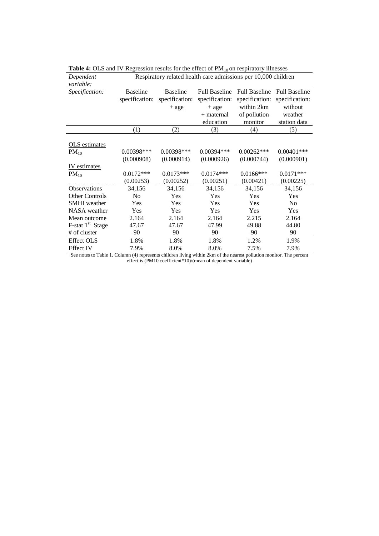| Dependent<br>variable:          | Respiratory related health care admissions per 10,000 children |                                                                                         |                |                |                |  |  |
|---------------------------------|----------------------------------------------------------------|-----------------------------------------------------------------------------------------|----------------|----------------|----------------|--|--|
| Specification:                  | <b>Baseline</b>                                                | <b>Baseline</b><br><b>Full Baseline</b><br><b>Full Baseline</b><br><b>Full Baseline</b> |                |                |                |  |  |
|                                 | specification:                                                 | specification:                                                                          | specification: | specification: | specification: |  |  |
|                                 |                                                                | $+$ age                                                                                 | $+$ age        | within 2km     | without        |  |  |
|                                 |                                                                |                                                                                         | $+$ maternal   | of pollution   | weather        |  |  |
|                                 |                                                                |                                                                                         | education      | monitor        | station data   |  |  |
|                                 | (1)                                                            | (2)                                                                                     | (3)            | (4)            | (5)            |  |  |
| OLS estimates                   |                                                                |                                                                                         |                |                |                |  |  |
| $PM_{10}$                       | 0.00398***                                                     | 0.00398***                                                                              | $0.00394***$   | $0.00262***$   | $0.00401$ ***  |  |  |
|                                 | (0.000908)                                                     | (0.000914)                                                                              | (0.000926)     | (0.000744)     | (0.000901)     |  |  |
| IV estimates                    |                                                                |                                                                                         |                |                |                |  |  |
| $PM_{10}$                       | $0.0172***$                                                    | $0.0173***$                                                                             | $0.0174***$    | $0.0166$ ***   | $0.0171***$    |  |  |
|                                 | (0.00253)                                                      | (0.00252)                                                                               | (0.00251)      | (0.00421)      | (0.00225)      |  |  |
| <b>Observations</b>             | 34,156                                                         | 34,156                                                                                  | 34,156         | 34,156         | 34,156         |  |  |
| <b>Other Controls</b>           | No                                                             | Yes                                                                                     | Yes            | Yes            | Yes            |  |  |
| <b>SMHI</b> weather             | Yes                                                            | <b>Yes</b>                                                                              | Yes            | Yes            | N <sub>o</sub> |  |  |
| <b>NASA</b> weather             | <b>Yes</b>                                                     | Yes                                                                                     | <b>Yes</b>     | <b>Yes</b>     | Yes            |  |  |
| Mean outcome                    | 2.164                                                          | 2.164                                                                                   | 2.164          | 2.215          | 2.164          |  |  |
| $F$ -stat 1 <sup>st</sup> Stage | 47.67                                                          | 47.67                                                                                   | 47.99          | 49.88          | 44.80          |  |  |
| # of cluster                    | 90                                                             | 90                                                                                      | 90             | 90             | 90             |  |  |
| <b>Effect OLS</b>               | 1.8%                                                           | 1.8%                                                                                    | 1.8%           | 1.2%           | 1.9%           |  |  |
| <b>Effect IV</b>                | 7.9%                                                           | 8.0%                                                                                    | 8.0%           | 7.5%           | 7.9%           |  |  |

|  | <b>Table 4:</b> OLS and IV Regression results for the effect of $PM_{10}$ on respiratory illnesses |
|--|----------------------------------------------------------------------------------------------------|
|  |                                                                                                    |

See notes to Table 1. Column (4) represents children living within 2km of the nearest pollution monitor. The percent effect is (PM10 coefficient\*10)/(mean of dependent variable)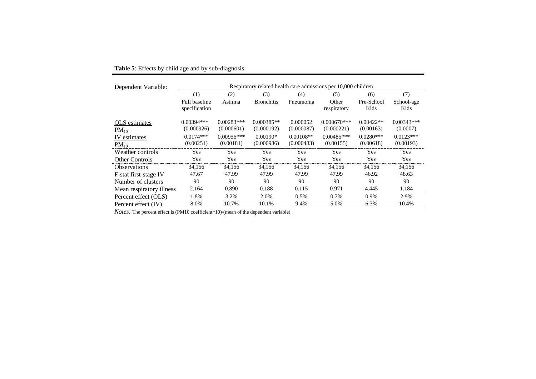| Dependent Variable:        | Respiratory related health care admissions per 10,000 children |                            |                            |                           |                             |                          |                          |  |
|----------------------------|----------------------------------------------------------------|----------------------------|----------------------------|---------------------------|-----------------------------|--------------------------|--------------------------|--|
|                            | (1)                                                            | (2)                        | (3)                        | (4)                       | (5)                         | (6)                      | (7)                      |  |
|                            | Full baseline<br>specification                                 | Asthma                     | <b>Bronchitis</b>          | Pneumonia                 | Other<br>respiratory        | Pre-School<br>Kids       | School-age<br>Kids       |  |
| OLS estimates<br>$PM_{10}$ | $0.00394***$<br>(0.000926)                                     | $0.00283***$<br>(0.000601) | $0.000385**$<br>(0.000192) | 0.000052<br>(0.000087)    | $0.000670***$<br>(0.000221) | $0.00422**$<br>(0.00163) | $0.00343***$<br>(0.0007) |  |
| IV estimates<br>$PM_{10}$  | $0.0174***$<br>(0.00251)                                       | $0.00956***$<br>(0.00181)  | $0.00190*$<br>(0.000986)   | $0.00108**$<br>(0.000483) | $0.00485***$<br>(0.00155)   | $0.0280***$<br>(0.00618) | $0.0123***$<br>(0.00193) |  |
| Weather controls           | Yes                                                            | Yes                        | Yes                        | Yes                       | Yes                         | Yes                      | Yes                      |  |
| <b>Other Controls</b>      | Yes                                                            | Yes                        | Yes                        | Yes                       | Yes                         | Yes                      | Yes                      |  |
| <b>Observations</b>        | 34,156                                                         | 34,156                     | 34,156                     | 34,156                    | 34,156                      | 34,156                   | 34,156                   |  |
| F-stat first-stage IV      | 47.67                                                          | 47.99                      | 47.99                      | 47.99                     | 47.99                       | 46.92                    | 48.63                    |  |
| Number of clusters         | 90                                                             | 90                         | 90                         | 90                        | 90                          | 90                       | 90                       |  |
| Mean respiratory illness   | 2.164                                                          | 0.890                      | 0.188                      | 0.115                     | 0.971                       | 4.445                    | 1.184                    |  |
| Percent effect (OLS)       | 1.8%                                                           | 3.2%                       | 2.0%                       | 0.5%                      | 0.7%                        | 0.9%                     | 2.9%                     |  |
| Percent effect (IV)        | 8.0%                                                           | 10.7%                      | 10.1%                      | 9.4%                      | 5.0%                        | 6.3%                     | 10.4%                    |  |

### **Table 5**: Effects by child age and by sub-diagnosis.

*Notes:* The percent effect is (PM10 coefficient\*10)/(mean of the dependent variable)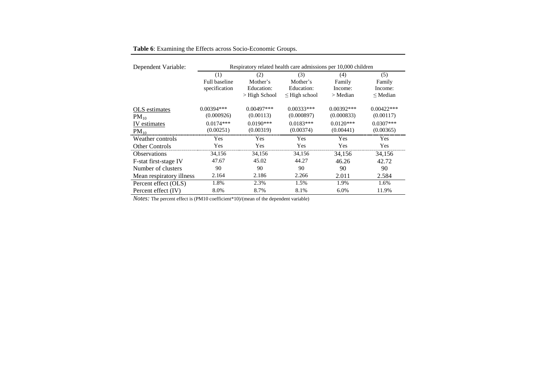| Dependent Variable:      | Respiratory related health care admissions per 10,000 children |                 |                    |              |               |  |  |
|--------------------------|----------------------------------------------------------------|-----------------|--------------------|--------------|---------------|--|--|
|                          | (1)                                                            | (2)             | (3)                | (4)          | (5)           |  |  |
|                          | <b>Full baseline</b>                                           | Mother's        | Mother's           | Family       | Family        |  |  |
|                          | specification                                                  | Education:      | Education:         | Income:      | Income:       |  |  |
|                          |                                                                | $>$ High School | $\leq$ High school | $>$ Median   | $\leq$ Median |  |  |
| OLS estimates            | $0.00394***$                                                   | $0.00497***$    | $0.00333***$       | $0.00392***$ | $0.00422***$  |  |  |
| $PM_{10}$                | (0.000926)                                                     | (0.00113)       | (0.000897)         | (0.000833)   | (0.00117)     |  |  |
| IV estimates             | $0.0174***$                                                    | $0.0190***$     | $0.0183***$        | $0.0120***$  | $0.0307***$   |  |  |
| $PM_{10}$                | (0.00251)                                                      | (0.00319)       | (0.00374)          | (0.00441)    | (0.00365)     |  |  |
| Weather controls         | Yes                                                            | Yes             | Yes                | Yes          | <b>Yes</b>    |  |  |
| <b>Other Controls</b>    | Yes                                                            | Yes             | Yes                | Yes          | Yes           |  |  |
| <b>Observations</b>      | 34,156                                                         | 34,156          | 34,156             | 34,156       | 34,156        |  |  |
| F-stat first-stage IV    | 47.67                                                          | 45.02           | 44.27              | 46.26        | 42.72         |  |  |
| Number of clusters       | 90                                                             | 90              | 90                 | 90           | 90            |  |  |
| Mean respiratory illness | 2.164                                                          | 2.186           | 2.266              | 2.011        | 2.584         |  |  |
| Percent effect (OLS)     | 1.8%                                                           | 2.3%            | 1.5%               | 1.9%         | 1.6%          |  |  |
| Percent effect (IV)      | 8.0%                                                           | 8.7%            | 8.1%               | 6.0%         | 11.9%         |  |  |

**Table 6**: Examining the Effects across Socio-Economic Groups.

*Notes:* The percent effect is (PM10 coefficient\*10)/(mean of the dependent variable)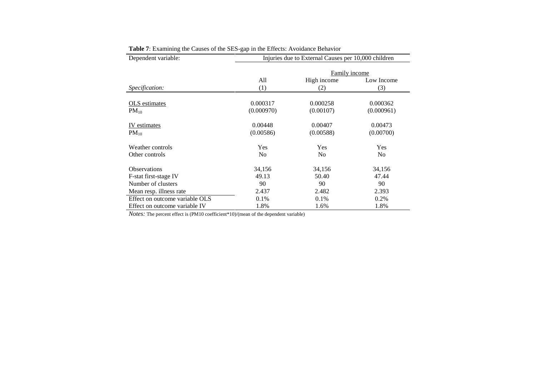| Dependent variable:            | Injuries due to External Causes per 10,000 children |                           |                |  |  |  |  |
|--------------------------------|-----------------------------------------------------|---------------------------|----------------|--|--|--|--|
|                                |                                                     | Family income             |                |  |  |  |  |
|                                | All                                                 | High income<br>Low Income |                |  |  |  |  |
| Specification:                 | (1)                                                 | (2)                       | (3)            |  |  |  |  |
|                                |                                                     |                           |                |  |  |  |  |
| OLS estimates                  | 0.000317                                            | 0.000258                  | 0.000362       |  |  |  |  |
| $PM_{10}$                      | (0.000970)                                          | (0.00107)                 | (0.000961)     |  |  |  |  |
| IV estimates                   | 0.00448                                             | 0.00407                   | 0.00473        |  |  |  |  |
| $PM_{10}$                      | (0.00586)                                           | (0.00588)                 | (0.00700)      |  |  |  |  |
| Weather controls               | <b>Yes</b>                                          | Yes                       | Yes            |  |  |  |  |
| Other controls                 | N <sub>0</sub>                                      | N <sub>0</sub>            | N <sub>0</sub> |  |  |  |  |
| <b>Observations</b>            | 34,156                                              | 34,156                    | 34,156         |  |  |  |  |
| F-stat first-stage IV          | 49.13                                               | 50.40                     | 47.44          |  |  |  |  |
| Number of clusters             | 90                                                  | 90                        | 90             |  |  |  |  |
| Mean resp. illness rate        | 2.437                                               | 2.482                     | 2.393          |  |  |  |  |
| Effect on outcome variable OLS | 0.1%                                                | 0.1%                      | 0.2%           |  |  |  |  |
| Effect on outcome variable IV  | 1.8%                                                | 1.6%                      | 1.8%           |  |  |  |  |

**Table 7**: Examining the Causes of the SES-gap in the Effects: Avoidance Behavior

*Notes:* The percent effect is (PM10 coefficient\*10)/(mean of the dependent variable)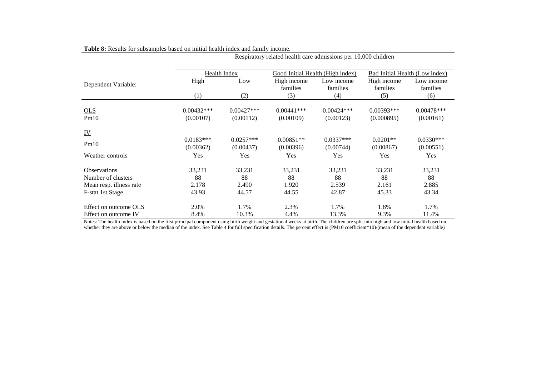|                                                                                          |                                | Respiratory related health care admissions per 10,000 children                     |                                |                                |                                |                                |  |  |
|------------------------------------------------------------------------------------------|--------------------------------|------------------------------------------------------------------------------------|--------------------------------|--------------------------------|--------------------------------|--------------------------------|--|--|
|                                                                                          |                                | Health Index<br>Good Initial Health (High index)<br>Bad Initial Health (Low index) |                                |                                |                                |                                |  |  |
| Dependent Variable:                                                                      | High                           | Low                                                                                | High income<br>families        | Low income<br>families         | High income<br>families        | Low income<br>families         |  |  |
|                                                                                          | (1)                            | (2)                                                                                | (3)                            | (4)                            | (5)                            | (6)                            |  |  |
| OLS<br>Pm10                                                                              | $0.00432***$<br>(0.00107)      | $0.00427***$<br>(0.00112)                                                          | $0.00441***$<br>(0.00109)      | $0.00424***$<br>(0.00123)      | $0.00393***$<br>(0.000895)     | $0.00478***$<br>(0.00161)      |  |  |
| $\underline{\mathbf{IV}}$                                                                |                                |                                                                                    |                                |                                |                                |                                |  |  |
| Pm10                                                                                     | $0.0183***$<br>(0.00362)       | $0.0257***$<br>(0.00437)                                                           | $0.00851**$<br>(0.00396)       | $0.0337***$<br>(0.00744)       | $0.0201**$<br>(0.00867)        | $0.0330***$<br>(0.00551)       |  |  |
| Weather controls                                                                         | Yes                            | Yes                                                                                | Yes                            | Yes                            | Yes                            | Yes                            |  |  |
| <b>Observations</b><br>Number of clusters<br>Mean resp. illness rate<br>F-stat 1st Stage | 33,231<br>88<br>2.178<br>43.93 | 33,231<br>88<br>2.490<br>44.57                                                     | 33,231<br>88<br>1.920<br>44.55 | 33,231<br>88<br>2.539<br>42.87 | 33,231<br>88<br>2.161<br>45.33 | 33,231<br>88<br>2.885<br>43.34 |  |  |
| Effect on outcome OLS                                                                    | 2.0%                           | 1.7%                                                                               | 2.3%                           | 1.7%                           | 1.8%                           | 1.7%                           |  |  |
| Effect on outcome IV                                                                     | 8.4%                           | 10.3%                                                                              | 4.4%                           | 13.3%                          | 9.3%                           | 11.4%                          |  |  |

**Table 8:** Results for subsamples based on initial health index and family income.

Notes: The health index is based on the first principal component using birth weight and gestational weeks at birth. The children are split into high and low initial health based on whether they are above or below the median of the index. See Table 4 for full specification details. The percent effect is (PM10 coefficient\*10)/(mean of the dependent variable)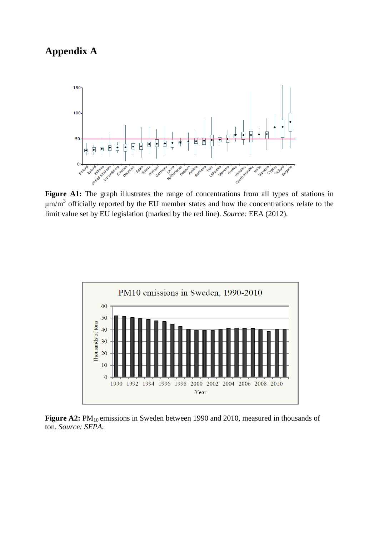### **Appendix A**



Figure A1: The graph illustrates the range of concentrations from all types of stations in  $\mu$ m/m<sup>3</sup> officially reported by the EU member states and how the concentrations relate to the limit value set by EU legislation (marked by the red line). *Source:* EEA (2012).



Figure A2: PM<sub>10</sub> emissions in Sweden between 1990 and 2010, measured in thousands of ton. *Source: SEPA.*